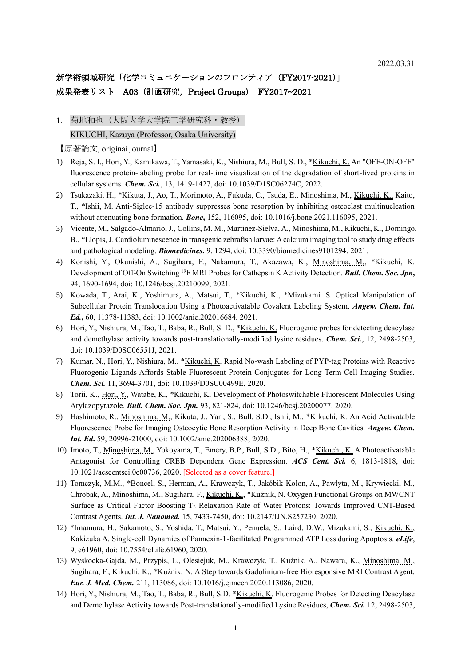# 新学術領域研究「化学コミュニケーションのフロンティア (FY2017-2021)」 成果発表リスト A03 (計画研究, Project Groups) FY2017~2021

1. 菊地和也(大阪大学大学院工学研究科·教授) KIKUCHI, Kazuya (Professor, Osaka University)

- 1) Reja, S. I., Hori, Y., Kamikawa, T., Yamasaki, K., Nishiura, M., Bull, S. D., \*Kikuchi, K. An "OFF-ON-OFF" fluorescence protein-labeling probe for real-time visualization of the degradation of short-lived proteins in cellular systems. *Chem. Sci.*, 13, 1419-1427, doi: 10.1039/D1SC06274C, 2022.
- 2) Tsukazaki, H., \*Kikuta, J., Ao, T., Morimoto, A., Fukuda, C., Tsuda, E., Minoshima, M., Kikuchi, K., Kaito, T., \*Ishii, M. Anti-Siglec-15 antibody suppresses bone resorption by inhibiting osteoclast multinucleation without attenuating bone formation. *Bone***,** 152, 116095, doi: 10.1016/j.bone.2021.116095, 2021.
- 3) Vicente, M., Salgado-Almario, J., Collins, M. M., Martínez-Sielva, A., Minoshima, M., Kikuchi, K., Domingo, B., \*Llopis, J. Cardioluminescence in transgenic zebrafish larvae: A calcium imaging tool to study drug effects and pathological modeling. *Biomedicines***,** 9, 1294, doi: 10.3390/biomedicines9101294, 2021.
- 4) Konishi, Y., Okunishi, A., Sugihara, F., Nakamura, T., Akazawa, K., Minoshima, M., \*Kikuchi, K. Development of Off-On Switching <sup>19</sup>F MRI Probes for Cathepsin K Activity Detection. *Bull. Chem. Soc. Jpn***,** 94, 1690-1694, doi: 10.1246/bcsj.20210099, 2021.
- 5) Kowada, T., Arai, K., Yoshimura, A., Matsui, T., \*Kikuchi, K., \*Mizukami. S. Optical Manipulation of Subcellular Protein Translocation Using a Photoactivatable Covalent Labeling System. *Angew. Chem. Int. Ed.***,** 60, 11378-11383, doi: 10.1002/anie.202016684, 2021.
- 6) Hori, Y., Nishiura, M., Tao, T., Baba, R., Bull, S. D., \*Kikuchi, K. Fluorogenic probes for detecting deacylase and demethylase activity towards post-translationally-modified lysine residues. *Chem. Sci.*, 12, 2498-2503, doi: 10.1039/D0SC06551J, 2021.
- 7) Kumar, N., Hori, Y., Nishiura, M., \*Kikuchi, K. Rapid No-wash Labeling of PYP-tag Proteins with Reactive Fluorogenic Ligands Affords Stable Fluorescent Protein Conjugates for Long-Term Cell Imaging Studies. *Chem. Sci.* 11, 3694-3701, doi: 10.1039/D0SC00499E, 2020.
- 8) Torii, K., Hori, Y., Watabe, K., \*Kikuchi, K. Development of Photoswitchable Fluorescent Molecules Using Arylazopyrazole. *Bull. Chem. Soc. Jpn.* 93, 821-824, doi: 10.1246/bcsj.20200077, 2020.
- 9) Hashimoto, R., Minoshima, M., Kikuta, J., Yari, S., Bull, S.D., Ishii, M., \*Kikuchi, K. An Acid Activatable Fluorescence Probe for Imaging Osteocytic Bone Resorption Activity in Deep Bone Cavities. *Angew. Chem. Int. Ed***.** 59, 20996-21000, doi: 10.1002/anie.202006388, 2020.
- 10) Imoto, T., Minoshima, M., Yokoyama, T., Emery, B.P., Bull, S.D., Bito, H., \*Kikuchi, K. A Photoactivatable Antagonist for Controlling CREB Dependent Gene Expression. *ACS Cent. Sci.* 6, 1813-1818, doi: 10.1021/acscentsci.0c00736, 2020. [Selected as a cover feature.]
- 11) Tomczyk, M.M., \*Boncel, S., Herman, A., Krawczyk, T., Jakóbik-Kolon, A., Pawlyta, M., Krywiecki, M., Chrobak, A., Minoshima, M., Sugihara, F., Kikuchi, K., \*Kuźnik, N. Oxygen Functional Groups on MWCNT Surface as Critical Factor Boosting T<sub>2</sub> Relaxation Rate of Water Protons: Towards Improved CNT-Based Contrast Agents. *Int. J. Nanomed.* 15, 7433-7450, doi: 10.2147/IJN.S257230, 2020.
- 12) \*Imamura, H., Sakamoto, S., Yoshida, T., Matsui, Y., Penuela, S., Laird, D.W., Mizukami, S., Kikuchi, K., Kakizuka A. Single-cell Dynamics of Pannexin-1-facilitated Programmed ATP Loss during Apoptosis. *eLife*, 9, e61960, doi: 10.7554/eLife.61960, 2020.
- 13) Wyskocka-Gajda, M., Przypis, L., Olesiejuk, M., Krawczyk, T., Kuźnik, A., Nawara, K., Minoshima, M., Sugihara, F., Kikuchi, K., \*Kuźnik, N. A Step towards Gadolinium-free Bioresponsive MRI Contrast Agent, *Eur. J. Med. Chem.* 211, 113086, doi: 10.1016/j.ejmech.2020.113086, 2020.
- 14) Hori, Y., Nishiura, M., Tao, T., Baba, R., Bull, S.D. \*Kikuchi, K. Fluorogenic Probes for Detecting Deacylase and Demethylase Activity towards Post-translationally-modified Lysine Residues, *Chem. Sci.* 12, 2498-2503,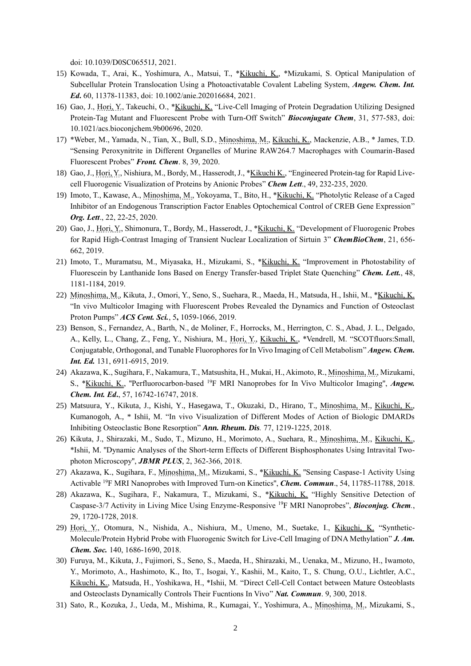doi: 10.1039/D0SC06551J, 2021.

- 15) Kowada, T., Arai, K., Yoshimura, A., Matsui, T., \*Kikuchi, K., \*Mizukami, S. Optical Manipulation of Subcellular Protein Translocation Using a Photoactivatable Covalent Labeling System, *Angew. Chem. Int. Ed***.** 60, 11378-11383, doi: 10.1002/anie.202016684, 2021.
- 16) Gao, J., Hori, Y., Takeuchi, O., \*Kikuchi, K. "Live-Cell Imaging of Protein Degradation Utilizing Designed Protein-Tag Mutant and Fluorescent Probe with Turn-Off Switch" *Bioconjugate Chem*, 31, 577-583, doi: 10.1021/acs.bioconjchem.9b00696, 2020.
- 17) \*Weber, M., Yamada, N., Tian, X., Bull, S.D., Minoshima, M., Kikuchi, K., Mackenzie, A.B., \* James, T.D. "Sensing Peroxynitrite in Different Organelles of Murine RAW264.7 Macrophages with Coumarin-Based Fluorescent Probes" *Front. Chem*. 8, 39, 2020.
- 18) Gao, J., Hori, Y., Nishiura, M., Bordy, M., Hasserodt, J., \*Kikuchi K., "Engineered Protein-tag for Rapid Livecell Fluorogenic Visualization of Proteins by Anionic Probes" *Chem Lett*., 49, 232-235, 2020.
- 19) Imoto, T., Kawase, A., Minoshima, M., Yokoyama, T., Bito, H., \*Kikuchi, K. "Photolytic Release of a Caged Inhibitor of an Endogenous Transcription Factor Enables Optochemical Control of CREB Gene Expression" *Org. Lett*., 22, 22-25, 2020.
- 20) Gao, J., Hori, Y., Shimonura, T., Bordy, M., Hasserodt, J., \*Kikuchi, K. "Development of Fluorogenic Probes for Rapid High-Contrast Imaging of Transient Nuclear Localization of Sirtuin 3" *ChemBioChem*, 21, 656- 662, 2019.
- 21) Imoto, T., Muramatsu, M., Miyasaka, H., Mizukami, S., \*Kikuchi, K. "Improvement in Photostability of Fluorescein by Lanthanide Ions Based on Energy Transfer-based Triplet State Quenching" *Chem. Lett.*, 48, 1181-1184, 2019.
- 22) Minoshima, M., Kikuta, J., Omori, Y., Seno, S., Suehara, R., Maeda, H., Matsuda, H., Ishii, M., \*Kikuchi, K. "In vivo Multicolor Imaging with Fluorescent Probes Revealed the Dynamics and Function of Osteoclast Proton Pumps" *ACS Cent. Sci.*, 5**,** 1059-1066, 2019.
- 23) Benson, S., Fernandez, A., Barth, N., de Moliner, F., Horrocks, M., Herrington, C. S., Abad, J. L., Delgado, A., Kelly, L., Chang, Z., Feng, Y., Nishiura, M., Hori, Y., Kikuchi, K., \*Vendrell, M. "SCOTfluors:Small, Conjugatable, Orthogonal, and Tunable Fluorophores for In Vivo Imaging of Cell Metabolism" *Angew. Chem. Int. Ed.* 131, 6911-6915, 2019.
- 24) Akazawa, K., Sugihara, F., Nakamura, T., Matsushita, H., Mukai, H., Akimoto, R., Minoshima, M., Mizukami, S., \*Kikuchi, K., ''Perfluorocarbon-based <sup>19</sup>F MRI Nanoprobes for In Vivo Multicolor Imaging'', *Angew. Chem. Int. Ed***.**, 57, 16742-16747, 2018.
- 25) Matsuura, Y., Kikuta, J., Kishi, Y., Hasegawa, T., Okuzaki, D., Hirano, T., Minoshima, M., Kikuchi, K., Kumanogoh, A., \* Ishii, M. "In vivo Visualization of Different Modes of Action of Biologic DMARDs Inhibiting Osteoclastic Bone Resorption" *Ann. Rheum. Dis.* 77, 1219-1225, 2018.
- 26) Kikuta, J., Shirazaki, M., Sudo, T., Mizuno, H., Morimoto, A., Suehara, R., Minoshima, M., Kikuchi, K., \*Ishii, M. ''Dynamic Analyses of the Short-term Effects of Different Bisphosphonates Using Intravital Twophoton Microscopy'', *JBMR PLUS*, 2, 362-366, 2018.
- 27) Akazawa, K., Sugihara, F., Minoshima, M., Mizukami, S., \*Kikuchi, K. ''Sensing Caspase-1 Activity Using Activable <sup>19</sup>F MRI Nanoprobes with Improved Turn-on Kinetics'', *Chem. Commun*., 54, 11785-11788, 2018.
- 28) Akazawa, K., Sugihara, F., Nakamura, T., Mizukami, S., \*Kikuchi, K. "Highly Sensitive Detection of Caspase-3/7 Activity in Living Mice Using Enzyme-Responsive <sup>19</sup>F MRI Nanoprobes", *Bioconjug. Chem.*, 29, 1720-1728, 2018.
- 29) Hori, Y., Otomura, N., Nishida, A., Nishiura, M., Umeno, M., Suetake, I., Kikuchi, K. "Synthetic-Molecule/Protein Hybrid Probe with Fluorogenic Switch for Live-Cell Imaging of DNA Methylation" *J. Am. Chem. Soc.* 140, 1686-1690, 2018.
- 30) Furuya, M., Kikuta, J., Fujimori, S., Seno, S., Maeda, H., Shirazaki, M., Uenaka, M., Mizuno, H., Iwamoto, Y., Morimoto, A., Hashimoto, K., Ito, T., Isogai, Y., Kashii, M., Kaito, T., S. Chung, O.U., Lichtler, A.C., Kikuchi, K., Matsuda, H., Yoshikawa, H., \*Ishii, M. "Direct Cell-Cell Contact between Mature Osteoblasts and Osteoclasts Dynamically Controls Their Fucntions In Vivo" *Nat. Commun*. 9, 300, 2018.
- 31) Sato, R., Kozuka, J., Ueda, M., Mishima, R., Kumagai, Y., Yoshimura, A., Minoshima, M., Mizukami, S.,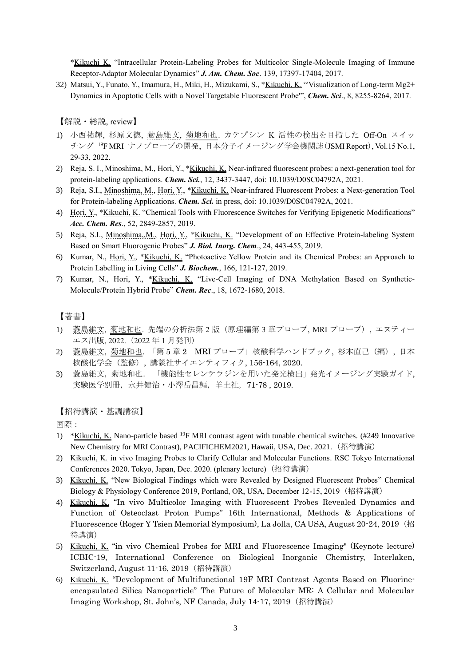\*Kikuchi K. "Intracellular Protein-Labeling Probes for Multicolor Single-Molecule Imaging of Immune Receptor-Adaptor Molecular Dynamics" *J. Am. Chem. Soc*. 139, 17397-17404, 2017.

32) Matsui, Y., Funato, Y., Imamura, H., Miki, H., Mizukami, S., \*Kikuchi, K. "Visualization of Long-term Mg2+ Dynamics in Apoptotic Cells with a Novel Targetable Fluorescent Probe'", *Chem. Sci*., 8, 8255-8264, 2017.

【解説・総説, review】

- 1) 小西祐輝, 杉原文徳, 蓑島維文, 菊地和也. カテプシン K 活性の検出を目指した Off-On スイッ チング <sup>19</sup>F MRI ナノプローブの開発, 日本分子イメージング学会機関誌(JSMI Report), Vol.15 No.1, 29-33, 2022.
- 2) Reja, S. I., Minoshima, M., Hori, Y., \*Kikuchi, K. Near-infrared fluorescent probes: a next-generation tool for protein-labeling applications. *Chem. Sci.*, 12, 3437-3447, doi: 10.1039/D0SC04792A, 2021.
- 3) Reja, S.I., Minoshima, M., Hori, Y., \*Kikuchi, K. Near-infrared Fluorescent Probes: a Next-generation Tool for Protein-labeling Applications. *Chem. Sci.* in press, doi: 10.1039/D0SC04792A, 2021.
- 4) Hori, Y., \*Kikuchi, K. "Chemical Tools with Fluorescence Switches for Verifying Epigenetic Modifications" *Acc. Chem. Res*., 52, 2849-2857, 2019.
- 5) Reja, S.I., Minoshima,,M., Hori, Y., \*Kikuchi, K. "Development of an Effective Protein-labeling System Based on Smart Fluorogenic Probes" *J. Biol. Inorg. Chem*., 24, 443-455, 2019.
- 6) Kumar, N., Hori, Y., \*Kikuchi, K. "Photoactive Yellow Protein and its Chemical Probes: an Approach to Protein Labelling in Living Cells" *J. Biochem.*, 166, 121-127, 2019.
- 7) Kumar, N., Hori, Y., \*Kikuchi, K. "Live-Cell Imaging of DNA Methylation Based on Synthetic-Molecule/Protein Hybrid Probe" *Chem. Rec*., 18, 1672-1680, 2018.

### 【著書】

- 1) 蓑島維文, 菊地和也. 先端の分析法第 2 版 (原理編第 3 章プローブ, MRI プローブ), エヌティー エス出版, 2022.(2022 年 1 月発刊)
- 2) 蓑島維文, 菊地和也. 「第 5 章 2 MRI プローブ」核酸科学ハンドブック, 杉本直己(編), 日本 核酸化学会(監修), 講談社サイエンティフィク, 156-164, 2020.
- 3) 蓑島維文,菊地和也. 「機能性セレンテラジンを用いた発光検出」発光イメージング実験ガイド, 実験医学別冊,永井健治・小澤岳昌編,羊土社,71-78 , 2019.

【招待講演・基調講演】

国際:

- 1) \*Kikuchi, K. Nano-particle based <sup>19</sup>F MRI contrast agent with tunable chemical switches. (#249 Innovative New Chemistry for MRI Contrast), PACIFICHEM2021, Hawaii, USA, Dec. 2021. (招待講演)
- 2) Kikuchi, K. in vivo Imaging Probes to Clarify Cellular and Molecular Functions. RSC Tokyo International Conferences 2020. Tokyo, Japan, Dec. 2020. (plenary lecture) (招待講演)
- 3) Kikuchi, K. "New Biological Findings which were Revealed by Designed Fluorescent Probes" Chemical Biology & Physiology Conference 2019, Portland, OR, USA, December 12-15, 2019(招待講演)
- 4) Kikuchi, K. "In vivo Multicolor Imaging with Fluorescent Probes Revealed Dynamics and Function of Osteoclast Proton Pumps" 16th International, Methods & Applications of Fluorescence (Roger Y Tsien Memorial Symposium), La Jolla, CA USA, August 20-24, 2019(招 待講演)
- 5) Kikuchi, K. "in vivo Chemical Probes for MRI and Fluorescence Imaging" (Keynote lecture) ICBIC-19, International Conference on Biological Inorganic Chemistry, Interlaken, Switzerland, August 11-16, 2019(招待講演)
- 6) Kikuchi, K. "Development of Multifunctional 19F MRI Contrast Agents Based on Fluorineencapsulated Silica Nanoparticle" The Future of Molecular MR: A Cellular and Molecular Imaging Workshop, St. John's, NF Canada, July 14-17, 2019(招待講演)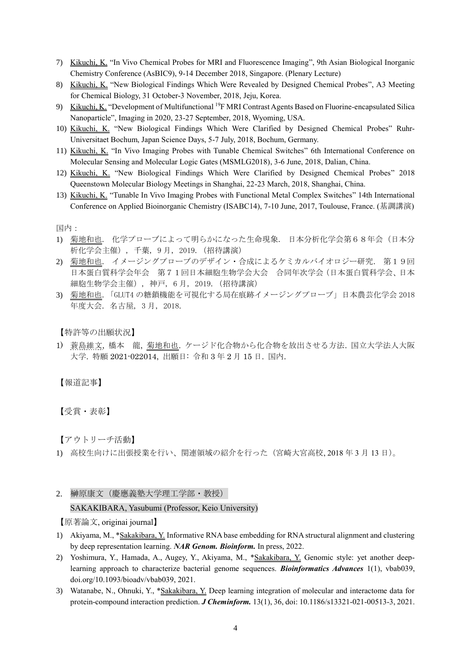- 7) Kikuchi, K. "In Vivo Chemical Probes for MRI and Fluorescence Imaging", 9th Asian Biological Inorganic Chemistry Conference (AsBIC9), 9-14 December 2018, Singapore. (Plenary Lecture)
- 8) Kikuchi, K. "New Biological Findings Which Were Revealed by Designed Chemical Probes", A3 Meeting for Chemical Biology, 31 October-3 November, 2018, Jeju, Korea.
- 9) Kikuchi, K. "Development of Multifunctional <sup>19</sup>F MRI Contrast Agents Based on Fluorine-encapsulated Silica Nanoparticle", Imaging in 2020, 23-27 September, 2018, Wyoming, USA.
- 10) Kikuchi, K. "New Biological Findings Which Were Clarified by Designed Chemical Probes" Ruhr-Universitaet Bochum, Japan Science Days, 5-7 July, 2018, Bochum, Germany.
- 11) Kikuchi, K. "In Vivo Imaging Probes with Tunable Chemical Switches" 6th International Conference on Molecular Sensing and Molecular Logic Gates (MSMLG2018), 3-6 June, 2018, Dalian, China.
- 12) Kikuchi, K. "New Biological Findings Which Were Clarified by Designed Chemical Probes" 2018 Queenstown Molecular Biology Meetings in Shanghai, 22-23 March, 2018, Shanghai, China.
- 13) Kikuchi, K. "Tunable In Vivo Imaging Probes with Functional Metal Complex Switches" 14th International Conference on Applied Bioinorganic Chemistry (ISABC14), 7-10 June, 2017, Toulouse, France. (基調講演)

#### 国内:

- 1) 菊地和也. 化学プローブによって明らかになった生命現象. 日本分析化学会第68年会(日本分 析化学会主催), 千葉, 9 月, 2019.(招待講演)
- 2) 菊地和也. イメージングプローブのデザイン・合成によるケミカルバイオロジー研究. 第19回 日本蛋白質科学会年会 第71回日本細胞生物学会大会 合同年次学会(日本蛋白質科学会、日本 細胞生物学会主催), 神戸, 6 月, 2019.(招待講演)
- 3) 菊地和也.「GLUT4 の糖鎖機能を可視化する局在痕跡イメージングプローブ」日本農芸化学会 2018 年度大会. 名古屋, 3 月, 2018.

【特許等の出願状況】

1) 蓑島維文, 橋本 龍, 菊地和也. ケージド化合物から化合物を放出させる方法. 国立大学法人大阪 大学. 特願 2021-022014, 出願日: 令和 3 年 2 月 15 日. 国内.

【報道記事】

【受賞・表彰】

【アウトリーチ活動】

- 1) 高校生向けに出張授業を行い、関連領域の紹介を行った(宮崎大宮高校, 2018 年 3 月 13 日)。
- 2. 榊原康文(慶應義塾大学理工学部・教授)

SAKAKIBARA, Yasubumi (Professor, Keio University)

- 1) Akiyama, M., \*Sakakibara, Y. Informative RNA base embedding for RNA structural alignment and clustering by deep representation learning. *NAR Genom. Bioinform.* In press, 2022.
- 2) Yoshimura, Y., Hamada, A., Augey, Y., Akiyama, M., \*Sakakibara, Y. Genomic style: yet another deeplearning approach to characterize bacterial genome sequences. *Bioinformatics Advances* 1(1), vbab039, doi.org/10.1093/bioadv/vbab039, 2021.
- 3) Watanabe, N., Ohnuki, Y., \*Sakakibara, Y. Deep learning integration of molecular and interactome data for protein-compound interaction prediction. *J Cheminform.* 13(1), 36, doi: 10.1186/s13321-021-00513-3, 2021.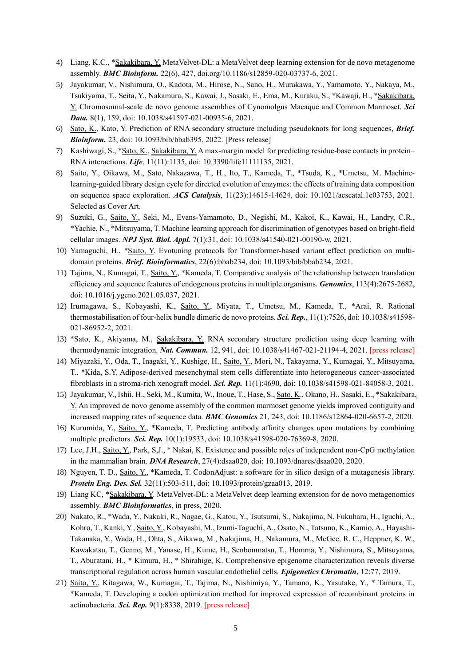- 4) Liang, K.C., \*Sakakibara, Y. MetaVelvet-DL: a MetaVelvet deep learning extension for de novo metagenome assembly. *BMC Bioinform.* 22(6), 427, doi.org/10.1186/s12859-020-03737-6, 2021.
- 5) Jayakumar, V., Nishimura, O., Kadota, M., Hirose, N., Sano, H., Murakawa, Y., Yamamoto, Y., Nakaya, M., Tsukiyama, T., Seita, Y., Nakamura, S., Kawai, J., Sasaki, E., Ema, M., Kuraku, S., \*Kawaji, H., \*Sakakibara, Y. Chromosomal-scale de novo genome assemblies of Cynomolgus Macaque and Common Marmoset. *Sci Data.* 8(1), 159, doi: 10.1038/s41597-021-00935-6, 2021.
- 6) Sato, K., Kato, Y. Prediction of RNA secondary structure including pseudoknots for long sequences, *Brief. Bioinform.* 23, doi: 10.1093/bib/bbab395, 2022. [Press release]
- 7) Kashiwagi, S., \*Sato, K., Sakakibara, Y. A max-margin model for predicting residue-base contacts in protein– RNA interactions. *Life*. 11(11):1135, doi: 10.3390/life11111135, 2021.
- 8) Saito, Y., Oikawa, M., Sato, Nakazawa, T., H., Ito, T., Kameda, T., \*Tsuda, K., \*Umetsu, M. Machinelearning-guided library design cycle for directed evolution of enzymes: the effects of training data composition on sequence space exploration. *ACS Catalysis*, 11(23):14615-14624, doi: 10.1021/acscatal.1c03753, 2021. Selected as Cover Art.
- 9) Suzuki, G., Saito, Y., Seki, M., Evans-Yamamoto, D., Negishi, M., Kakoi, K., Kawai, H., Landry, C.R., \*Yachie, N., \*Mitsuyama, T. Machine learning approach for discrimination of genotypes based on bright-field cellular images. *NPJ Syst. Biol. Appl.* 7(1):31, doi: 10.1038/s41540-021-00190-w, 2021.
- 10) Yamaguchi, H., \*Saito, Y. Evotuning protocols for Transformer-based variant effect prediction on multidomain proteins. *Brief. Bioinformatics*, 22(6):bbab234, doi: 10.1093/bib/bbab234, 2021.
- 11) Tajima, N., Kumagai, T., Saito, Y., \*Kameda, T. Comparative analysis of the relationship between translation efficiency and sequence features of endogenous proteins in multiple organisms. *Genomics*, 113(4):2675-2682, doi: 10.1016/j.ygeno.2021.05.037, 2021.
- 12) Irumagawa, S., Kobayashi, K., Saito, Y., Miyata, T., Umetsu, M., Kameda, T., \*Arai, R. Rational thermostabilisation of four-helix bundle dimeric de novo proteins. *Sci. Rep.*, 11(1):7526, doi: 10.1038/s41598- 021-86952-2, 2021.
- 13) \*Sato, K., Akiyama, M., Sakakibara, Y. RNA secondary structure prediction using deep learning with thermodynamic integration. *Nat. Commun.* 12, 941, doi: 10.1038/s41467-021-21194-4, 2021. [press release]
- 14) Miyazaki, Y., Oda, T., Inagaki, Y., Kushige, H., Saito, Y., Mori, N., Takayama, Y., Kumagai, Y., Mitsuyama, T., \*Kida, S.Y. Adipose-derived mesenchymal stem cells differentiate into heterogeneous cancer-associated fibroblasts in a stroma-rich xenograft model. *Sci. Rep.* 11(1):4690, doi: 10.1038/s41598-021-84058-3, 2021.
- 15) Jayakumar, V., Ishii, H., Seki, M., Kumita, W., Inoue, T., Hase, S., Sato, K., Okano, H., Sasaki, E., \*Sakakibara, Y. An improved de novo genome assembly of the common marmoset genome yields improved contiguity and increased mapping rates of sequence data. *BMC Genomics* 21, 243, doi: 10.1186/s12864-020-6657-2, 2020.
- 16) Kurumida, Y., Saito, Y., \*Kameda, T. Predicting antibody affinity changes upon mutations by combining multiple predictors. *Sci. Rep.* 10(1):19533, doi: 10.1038/s41598-020-76369-8, 2020.
- 17) Lee, J.H., Saito, Y., Park, S,J., \* Nakai, K. Existence and possible roles of independent non-CpG methylation in the mammalian brain. *DNA Research*, 27(4):dsaa020, doi: 10.1093/dnares/dsaa020, 2020.
- 18) Nguyen, T. D., Saito, Y., \*Kameda, T. CodonAdjust: a software for in silico design of a mutagenesis library. *Protein Eng. Des. Sel.* 32(11):503-511, doi: 10.1093/protein/gzaa013, 2019.
- 19) Liang KC, \*Sakakibara, Y. MetaVelvet-DL: a MetaVelvet deep learning extension for de novo metagenomics assembly. *BMC Bioinformatics*, in press, 2020.
- 20) Nakato, R., \*Wada, Y., Nakaki, R., Nagae, G., Katou, Y., Tsutsumi, S., Nakajima, N. Fukuhara, H., Iguchi, A., Kohro, T., Kanki, Y., Saito, Y., Kobayashi, M., Izumi-Taguchi, A., Osato, N., Tatsuno, K., Kamio, A., Hayashi-Takanaka, Y., Wada, H., Ohta, S., Aikawa, M., Nakajima, H., Nakamura, M., McGee, R. C., Heppner, K. W., Kawakatsu, T., Genno, M., Yanase, H., Kume, H., Senbonmatsu, T., Homma, Y., Nishimura, S., Mitsuyama, T., Aburatani, H., \* Kimura, H., \* Shirahige, K. Comprehensive epigenome characterization reveals diverse transcriptional regulation across human vascular endothelial cells. *Epigenetics Chromatin*, 12:77, 2019.
- 21) Saito, Y., Kitagawa, W., Kumagai, T., Tajima, N., Nishimiya, Y., Tamano, K., Yasutake, Y., \* Tamura, T., \*Kameda, T. Developing a codon optimization method for improved expression of recombinant proteins in actinobacteria. *Sci. Rep.* 9(1):8338, 2019. [press release]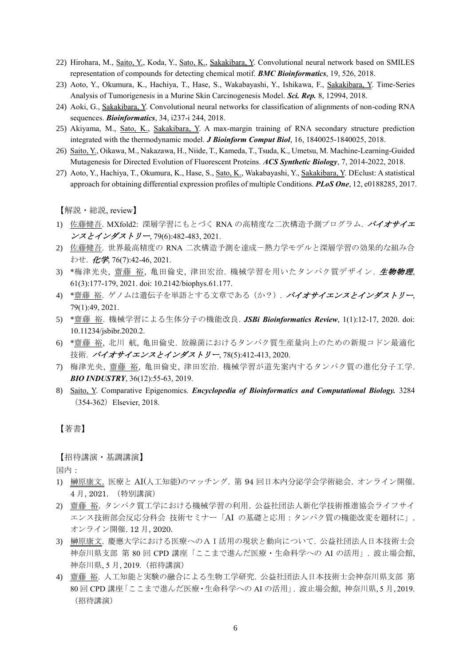- 22) Hirohara, M., Saito, Y., Koda, Y., Sato, K., Sakakibara, Y. Convolutional neural network based on SMILES representation of compounds for detecting chemical motif. *BMC Bioinformatics*, 19, 526, 2018.
- 23) Aoto, Y., Okumura, K., Hachiya, T., Hase, S., Wakabayashi, Y., Ishikawa, F., Sakakibara, Y. Time-Series Analysis of Tumorigenesis in a Murine Skin Carcinogenesis Model. *Sci. Rep.* 8, 12994, 2018.
- 24) Aoki, G., Sakakibara, Y. Convolutional neural networks for classification of alignments of non-coding RNA sequences. *Bioinformatics*, 34, i237-i 244, 2018.
- 25) Akiyama, M., Sato, K., Sakakibara, Y. A max-margin training of RNA secondary structure prediction integrated with the thermodynamic model. *J Bioinform Comput Biol*, 16, 1840025-1840025, 2018.
- 26) Saito, Y., Oikawa, M., Nakazawa, H., Niide, T., Kameda, T., Tsuda, K., Umetsu, M. Machine-Learning-Guided Mutagenesis for Directed Evolution of Fluorescent Proteins. *ACS Synthetic Biology*, 7, 2014-2022, 2018.
- 27) Aoto, Y., Hachiya, T., Okumura, K., Hase, S., Sato, K., Wakabayashi, Y., Sakakibara, Y. DEclust: A statistical approach for obtaining differential expression profiles of multiple Conditions. *PLoS One*, 12, e0188285, 2017.

【解説・総説, review】

- 1) 佐藤健吾. MXfold2: 深層学習にもとづく RNA の高精度な二次構造予測プログラム. バイオサイエ ンスとインダストリー, 79(6):482-483, 2021.
- 2) 佐藤健吾. 世界最高精度の RNA 二次構造予測を達成-熱力学モデルと深層学習の効果的な組み合 わせ. 化学, 76(7):42-46, 2021.
- 3) \*梅津光央, 齋藤 裕, 亀田倫史, 津田宏治. 機械学習を用いたタンパク質デザイン. 生物物理, 61(3):177-179, 2021. doi: 10.2142/biophys.61.177.
- 4) \*齋藤 裕. ゲノムは遺伝子を単語とする文章である(か?). バイオサイエンスとインダストリー, 79(1):49, 2021.
- 5) \*齋藤 裕. 機械学習による生体分子の機能改良. *JSBi Bioinformatics Review*, 1(1):12-17, 2020. doi: 10.11234/jsbibr.2020.2.
- 6) \*齋藤 裕, 北川 航, 亀田倫史. 放線菌におけるタンパク質生産量向上のための新規コドン最適化 技術. バイオサイエンスとインダストリー, 78(5):412-413, 2020.
- 7) 梅津光央, 齋藤 裕, 亀田倫史, 津田宏治. 機械学習が道先案内するタンパク質の進化分子工学. *BIO INDUSTRY*, 36(12):55-63, 2019.
- 8) Saito, Y. Comparative Epigenomics. *Encyclopedia of Bioinformatics and Computational Biology.* 3284 (354-362) Elsevier, 2018.

### 【著書】

【招待講演・基調講演】

国内:

- 1) 榊原康文. 医療と AI(人工知能)のマッチング. 第 94 回日本内分泌学会学術総会. オンライン開催. 4 月, 2021. (特別講演)
- 2) 齋藤 裕. タンパク質工学における機械学習の利用. 公益社団法人新化学技術推進協会ライフサイ エンス技術部会反応分科会 技術セミナー「AI の基礎と応用:タンパク質の機能改変を題材に」. オンライン開催. 12 月, 2020.
- 3) 榊原康文. 慶應大学における医療へのAI活用の現状と動向について. 公益社団法人日本技術士会 神奈川県支部 第 80 回 CPD 講座「ここまで進んだ医療・生命科学への AI の活用」. 波止場会館, 神奈川県, 5 月, 2019.(招待講演)
- 4) 齋藤 裕. 人工知能と実験の融合による生物工学研究. 公益社団法人日本技術士会神奈川県支部 第 80回 CPD 講座「ここまで進んだ医療·生命科学への AI の活用」. 波止場会館, 神奈川県, 5 月, 2019. (招待講演)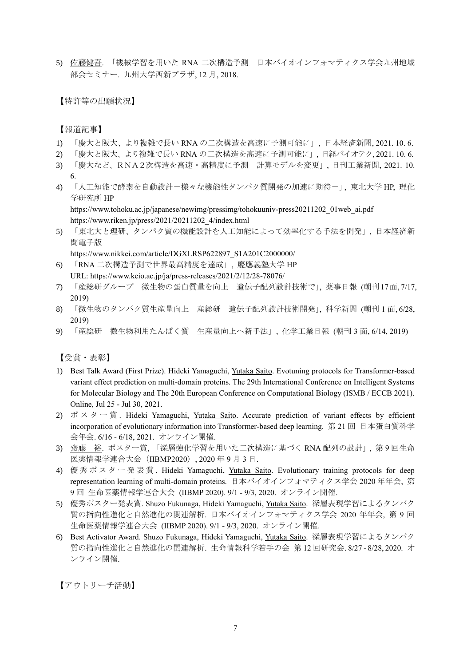5) 佐藤健吾. 「機械学習を用いた RNA 二次構造予測」日本バイオインフォマティクス学会九州地域 部会セミナー. 九州大学西新プラザ, 12 月, 2018.

【特許等の出願状況】

【報道記事】

- 1) 「慶大と阪大、より複雑で長い RNA の二次構造を高速に予測可能に」, 日本経済新聞, 2021. 10. 6.
- 2) 「慶大と阪大、より複雑で長い RNA の二次構造を高速に予測可能に」, 日経バイオテク, 2021. 10. 6.
- 3) 「慶大など、RNA2次構造を高速・高精度に予測 計算モデルを変更」, 日刊工業新聞, 2021. 10. 6.
- 4) 「人工知能で酵素を自動設計-様々な機能性タンパク質開発の加速に期待-」, 東北大学 HP, 理化 学研究所 HP

https://www.tohoku.ac.jp/japanese/newimg/pressimg/tohokuuniv-press20211202\_01web\_ai.pdf https://www.riken.jp/press/2021/20211202\_4/index.html

5) 「東北大と理研、タンパク質の機能設計を人工知能によって効率化する手法を開発」, 日本経済新 聞電子版

https://www.nikkei.com/article/DGXLRSP622897\_S1A201C2000000/

- 6) 「RNA 二次構造予測で世界最高精度を達成」, 慶應義塾大学 HP URL: https://www.keio.ac.jp/ja/press-releases/2021/2/12/28-78076/
- 7) 「産総研グループ 微生物の蛋白質量を向上 遺伝子配列設計技術で」, 薬事日報 (朝刊17面, 7/17, 2019)
- 8) 「微生物のタンパク質生産量向上 産総研 遺伝子配列設計技術開発」, 科学新聞 (朝刊 1 面, 6/28, 2019)
- 9) 「産総研 微生物利用たんぱく質 生産量向上へ新手法」, 化学工業日報 (朝刊 3 面, 6/14, 2019)

【受賞・表彰】

- 1) Best Talk Award (First Prize). Hideki Yamaguchi, Yutaka Saito. Evotuning protocols for Transformer-based variant effect prediction on multi-domain proteins. The 29th International Conference on Intelligent Systems for Molecular Biology and The 20th European Conference on Computational Biology (ISMB / ECCB 2021). Online, Jul 25 - Jul 30, 2021.
- 2) ポスター賞 . Hideki Yamaguchi, Yutaka Saito. Accurate prediction of variant effects by efficient incorporation of evolutionary information into Transformer-based deep learning. 第 21 回 日本蛋白質科学 会年会. 6/16 - 6/18, 2021. オンライン開催.
- 3) 齋藤 裕. ポスター賞, 「深層強化学習を用いた二次構造に基づく RNA 配列の設計」, 第 9 回生命 医薬情報学連合大会(IIBMP2020), 2020 年 9 月 3 日.
- 4) 優秀ポスター発表賞. Hideki Yamaguchi, Yutaka Saito. Evolutionary training protocols for deep representation learning of multi-domain proteins. 日本バイオインフォマティクス学会 2020 年年会, 第 9 回 生命医薬情報学連合大会 (IIBMP 2020). 9/1 - 9/3, 2020. オンライン開催.
- 5) 優秀ポスター発表賞. Shuzo Fukunaga, Hideki Yamaguchi, <u>Yutaka Saito</u>. 深層表現学習によるタンパク 質の指向性進化と自然進化の関連解析. 日本バイオインフォマティクス学会 2020 年年会, 第 9 回 生命医薬情報学連合大会 (IIBMP 2020). 9/1 - 9/3, 2020. オンライン開催.
- 6) Best Activator Award. Shuzo Fukunaga, Hideki Yamaguchi, Yutaka Saito. 深層表現学習によるタンパク 質の指向性進化と自然進化の関連解析. 生命情報科学若手の会 第 12 回研究会. 8/27 - 8/28, 2020. オ ンライン開催.

【アウトリーチ活動】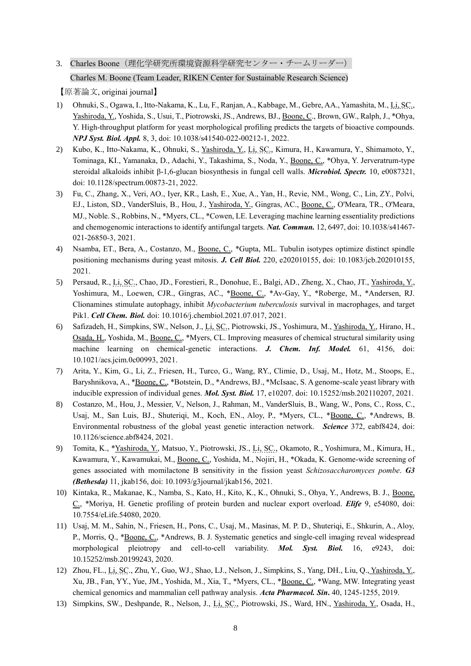## 3. Charles Boone (理化学研究所環境資源科学研究センター・チームリーダー) Charles M. Boone (Team Leader, RIKEN Center for Sustainable Research Science)

- 1) Ohnuki, S., Ogawa, I., Itto-Nakama, K., Lu, F., Ranjan, A., Kabbage, M., Gebre, AA., Yamashita, M., Li, SC., Yashiroda, Y., Yoshida, S., Usui, T., Piotrowski, JS., Andrews, BJ., Boone, C., Brown, GW., Ralph, J., \*Ohya, Y. High-throughput platform for yeast morphological profiling predicts the targets of bioactive compounds. *NPJ Syst. Biol. Appl.* 8, 3, doi: 10.1038/s41540-022-00212-1, 2022.
- 2) Kubo, K., Itto-Nakama, K., Ohnuki, S., Yashiroda, Y., Li, SC., Kimura, H., Kawamura, Y., Shimamoto, Y., Tominaga, KI., Yamanaka, D., Adachi, Y., Takashima, S., Noda, Y., Boone, C., \*Ohya, Y. Jerveratrum-type steroidal alkaloids inhibit β-1,6-glucan biosynthesis in fungal cell walls. *Microbiol. Spectr.* 10, e0087321, doi: 10.1128/spectrum.00873-21, 2022.
- 3) Fu, C., Zhang, X., Veri, AO., Iyer, KR., Lash, E., Xue, A., Yan, H., Revie, NM., Wong, C., Lin, ZY., Polvi, EJ., Liston, SD., VanderSluis, B., Hou, J., Yashiroda, Y., Gingras, AC., Boone, C., O'Meara, TR., O'Meara, MJ., Noble. S., Robbins, N., \*Myers, CL., \*Cowen, LE. Leveraging machine learning essentiality predictions and chemogenomic interactions to identify antifungal targets. *Nat. Commun.* 12, 6497, doi: 10.1038/s41467- 021-26850-3, 2021.
- 4) Nsamba, ET., Bera, A., Costanzo, M., Boone, C., \*Gupta, ML. Tubulin isotypes optimize distinct spindle positioning mechanisms during yeast mitosis. *J. Cell Biol.* 220, e202010155, doi: 10.1083/jcb.202010155, 2021.
- 5) Persaud, R., Li, SC., Chao, JD., Forestieri, R., Donohue, E., Balgi, AD., Zheng, X., Chao, JT., Yashiroda, Y., Yoshimura, M., Loewen, CJR., Gingras, AC., \*Boone, C., \*Av-Gay, Y., \*Roberge, M., \*Andersen, RJ. Clionamines stimulate autophagy, inhibit *Mycobacterium tuberculosis* survival in macrophages, and target Pik1. *Cell Chem. Biol.* doi: 10.1016/j.chembiol.2021.07.017, 2021.
- 6) Safizadeh, H., Simpkins, SW., Nelson, J., Li, SC., Piotrowski, JS., Yoshimura, M., Yashiroda, Y., Hirano, H., Osada, H., Yoshida, M., Boone, C., \*Myers, CL. Improving measures of chemical structural similarity using machine learning on chemical-genetic interactions. *J. Chem. Inf. Model.* 61, 4156, doi: 10.1021/acs.jcim.0c00993, 2021.
- 7) Arita, Y., Kim, G., Li, Z., Friesen, H., Turco, G., Wang, RY., Climie, D., Usaj, M., Hotz, M., Stoops, E., Baryshnikova, A., \***Boone, C.**, \*Botstein, D., \*Andrews, BJ., \*McIsaac, S. A genome-scale yeast library with inducible expression of individual genes. *Mol. Syst. Biol.* 17, e10207. doi: 10.15252/msb.202110207, 2021.
- 8) Costanzo, M., Hou, J., Messier, V., Nelson, J., Rahman, M., VanderSluis, B., Wang, W., Pons, C., Ross, C., Usaj, M., San Luis, BJ., Shuteriqi, M., Koch, EN., Aloy, P., \*Myers, CL., \*Boone, C., \*Andrews, B. Environmental robustness of the global yeast genetic interaction network. *Science* 372, eabf8424, doi: 10.1126/science.abf8424, 2021.
- 9) Tomita, K., \*Yashiroda, Y., Matsuo, Y., Piotrowski, JS., Li, SC., Okamoto, R., Yoshimura, M., Kimura, H., Kawamura, Y., Kawamukai, M., Boone, C., Yoshida, M., Nojiri, H., \*Okada, K. Genome-wide screening of genes associated with momilactone B sensitivity in the fission yeast *Schizosaccharomyces pombe*. *G3 (Bethesda)* 11, jkab156, doi: 10.1093/g3journal/jkab156, 2021.
- 10) Kintaka, R., Makanae, K., Namba, S., Kato, H., Kito, K., K., Ohnuki, S., Ohya, Y., Andrews, B. J., Boone, C., \*Moriya, H. Genetic profiling of protein burden and nuclear export overload. *Elife* 9, e54080, doi: 10.7554/eLife.54080, 2020.
- 11) Usaj, M. M., Sahin, N., Friesen, H., Pons, C., Usaj, M., Masinas, M. P. D., Shuteriqi, E., Shkurin, A., Aloy, P., Morris, Q., \*Boone, C., \*Andrews, B. J. Systematic genetics and single-cell imaging reveal widespread morphological pleiotropy and cell-to-cell variability. *Mol. Syst. Biol.* 16, e9243, doi: 10.15252/msb.20199243, 2020.
- 12) Zhou, FL., Li, SC., Zhu, Y., Guo, WJ., Shao, LJ., Nelson, J., Simpkins, S., Yang, DH., Liu, Q., Yashiroda, Y., Xu, JB., Fan, YY., Yue, JM., Yoshida, M., Xia, T., \*Myers, CL., \*Boone, C., \*Wang, MW. Integrating yeast chemical genomics and mammalian cell pathway analysis. *Acta Pharmacol. Sin***.** 40, 1245-1255, 2019.
- 13) Simpkins, SW., Deshpande, R., Nelson, J., Li, SC., Piotrowski, JS., Ward, HN., Yashiroda, Y., Osada, H.,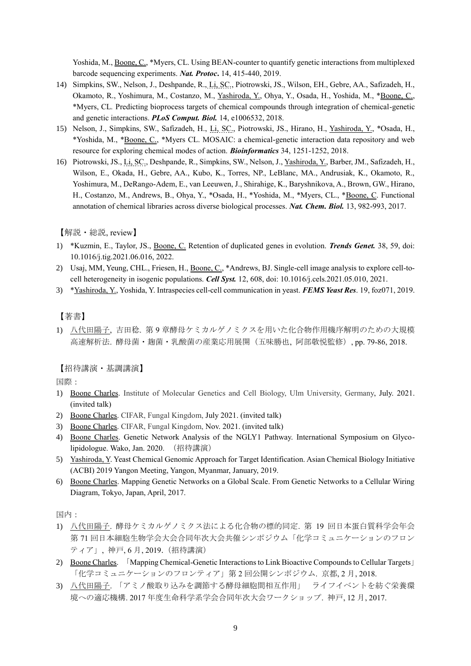Yoshida, M., Boone, C., \*Myers, CL. Using BEAN-counter to quantify genetic interactions from multiplexed barcode sequencing experiments. *Nat. Protoc***.** 14, 415-440, 2019.

- 14) Simpkins, SW., Nelson, J., Deshpande, R., Li, SC., Piotrowski, JS., Wilson, EH., Gebre, AA., Safizadeh, H., Okamoto, R., Yoshimura, M., Costanzo, M., Yashiroda, Y., Ohya, Y., Osada, H., Yoshida, M., \*Boone, C., \*Myers, CL*.* Predicting bioprocess targets of chemical compounds through integration of chemical-genetic and genetic interactions. *PLoS Comput. Biol.* 14, e1006532, 2018.
- 15) Nelson, J., Simpkins, SW., Safizadeh, H., Li, SC., Piotrowski, JS., Hirano, H., Yashiroda, Y., \*Osada, H., \*Yoshida, M., \*Boone, C., \*Myers CL. MOSAIC: a chemical-genetic interaction data repository and web resource for exploring chemical modes of action. *Bioinformatics* 34, 1251-1252, 2018.
- 16) Piotrowski, JS., Li, SC., Deshpande, R., Simpkins, SW., Nelson, J., Yashiroda, Y., Barber, JM., Safizadeh, H., Wilson, E., Okada, H., Gebre, AA., Kubo, K., Torres, NP., LeBlanc, MA., Andrusiak, K., Okamoto, R., Yoshimura, M., DeRango-Adem, E., van Leeuwen, J., Shirahige, K., Baryshnikova, A., Brown, GW., Hirano, H., Costanzo, M., Andrews, B., Ohya, Y., \*Osada, H., \*Yoshida, M., \*Myers, CL., \*Boone, C. Functional annotation of chemical libraries across diverse biological processes. *Nat. Chem. Biol.* 13, 982-993, 2017.

【解説・総説, review】

- 1) \*Kuzmin, E., Taylor, JS., Boone, C. Retention of duplicated genes in evolution. *Trends Genet.* 38, 59, doi: 10.1016/j.tig.2021.06.016, 2022.
- 2) Usaj, MM, Yeung, CHL., Friesen, H., Boone, C., \*Andrews, BJ. Single-cell image analysis to explore cell-tocell heterogeneity in isogenic populations. *Cell Syst.* 12, 608, doi: 10.1016/j.cels.2021.05.010, 2021.
- 3) \*Yashiroda, Y., Yoshida, Y. Intraspecies cell-cell communication in yeast. *FEMS Yeast Res*. 19, foz071, 2019.

### 【著書】

1) 八代田陽子, 吉田稔. 第 9 章酵母ケミカルゲノミクスを用いた化合物作用機序解明のための大規模 高速解析法. 酵母菌・麹菌・乳酸菌の産業応用展開(五味勝也, 阿部敬悦監修), pp. 79-86, 2018.

【招待講演・基調講演】

国際:

- 1) Boone Charles. Institute of Molecular Genetics and Cell Biology, Ulm University, Germany, July. 2021. (invited talk)
- 2) Boone Charles. CIFAR, Fungal Kingdom, July 2021. (invited talk)
- 3) Boone Charles. CIFAR, Fungal Kingdom, Nov. 2021. (invited talk)
- 4) Boone Charles. Genetic Network Analysis of the NGLY1 Pathway. International Symposium on Glycolipidologue. Wako, Jan. 2020. (招待講演)
- 5) Yashiroda, Y. Yeast Chemical Genomic Approach for Target Identification. Asian Chemical Biology Initiative (ACBI) 2019 Yangon Meeting, Yangon, Myanmar, January, 2019.
- 6) Boone Charles. Mapping Genetic Networks on a Global Scale. From Genetic Networks to a Cellular Wiring Diagram, Tokyo, Japan, April, 2017.

国内:

- 1) 八代田陽子. 酵母ケミカルゲノミクス法による化合物の標的同定. 第 19 回日本蛋白質科学会年会 第 71 回日本細胞生物学会大会合同年次大会共催シンポジウム「化学コミュニケーションのフロン ティア」, 神戸, 6 月, 2019.(招待講演)
- 2) Boone Charles. 「Mapping Chemical-Genetic Interactions to Link Bioactive Compounds to Cellular Targets」 「化学コミュニケーションのフロンティア」第 2 回公開シンポジウム. 京都, 2 月, 2018.
- 3) 八代田陽子. 「アミノ酸取り込みを調節する酵母細胞間相互作用」 ライフイベントを紡ぐ栄養環 境への適応機構. 2017 年度生命科学系学会合同年次大会ワークショップ. 神戸, 12 月, 2017.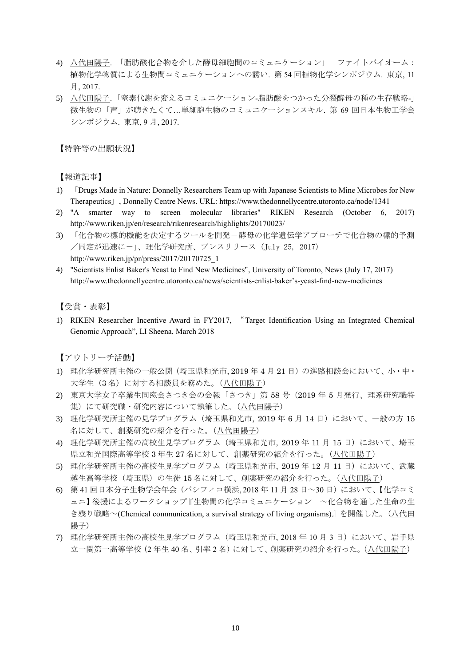- 4) 八代田陽子. 「脂肪酸化合物を介した酵母細胞間のコミュニケーション」 ファイトバイオーム: 植物化学物質による生物間コミュニケーションへの誘い. 第 54 回植物化学シンポジウム. 東京, 11 月, 2017.
- 5) 八代田陽子. 「窒素代謝を変えるコミュニケーション-脂肪酸をつかった分裂酵母の種の生存戦略-」 微生物の「声」が聴きたくて…単細胞生物のコミュニケーションスキル. 第 69 回日本生物工学会 シンポジウム. 東京, 9 月, 2017.

【特許等の出願状況】

【報道記事】

- 1) 「Drugs Made in Nature: Donnelly Researchers Team up with Japanese Scientists to Mine Microbes for New Therapeutics」, Donnelly Centre News. URL: https://www.thedonnellycentre.utoronto.ca/node/1341
- 2) "A smarter way to screen molecular libraries" RIKEN Research (October 6, 2017) http://www.riken.jp/en/research/rikenresearch/highlights/20170023/
- 3) 「化合物の標的機能を決定するツールを開発-酵母の化学遺伝学アプローチで化合物の標的予測 /同定が迅速に-」、理化学研究所、プレスリリース (July 25, 2017) http://www.riken.jp/pr/press/2017/20170725\_1
- 4) "Scientists Enlist Baker's Yeast to Find New Medicines", University of Toronto, News (July 17, 2017) http://www.thedonnellycentre.utoronto.ca/news/scientists-enlist-baker's-yeast-find-new-medicines

【受賞・表彰】

1) RIKEN Researcher Incentive Award in FY2017, "Target Identification Using an Integrated Chemical Genomic Approach", LI Sheena, March 2018

【アウトリーチ活動】

- 1) 理化学研究所主催の一般公開(埼玉県和光市, 2019 年 4 月 21 日)の進路相談会において、小・中・ 大学生(3 名)に対する相談員を務めた。(八代田陽子)
- 2) 東京大学女子卒業生同窓会さつき会の会報「さつき」第 58 号(2019 年 5 月発行、理系研究職特 集)にて研究職·研究内容について執筆した。(八代田陽子)
- 3) 理化学研究所主催の見学プログラム(埼玉県和光市, 2019 年 6 月 14 日)において、一般の方 15 名に対して、創薬研究の紹介を行った。(八代田陽子)
- 4) 理化学研究所主催の高校生見学プログラム (埼玉県和光市, 2019 年 11 月 15 日) において、埼玉 県立和光国際高等学校 3 年生 27 名に対して、創薬研究の紹介を行った。(八代田陽子)
- 5) 理化学研究所主催の高校生見学プログラム (埼玉県和光市, 2019 年 12 月 11 日) において、武蔵 越生高等学校(埼玉県)の生徒 15 名に対して、創薬研究の紹介を行った。(八代田陽子)
- 6) 第 41 回日本分子生物学会年会(パシフィコ横浜, 2018 年 11 月 28 日~30 日)において、【化学コミ ュニ】後援によるワークショップ『生物間の化学コミュニケーション ~化合物を通した生命の生 き残り戦略~(Chemical communication, a survival strategy of living organisms)』を開催した。(八代田 陽子)
- 7) 理化学研究所主催の高校生見学プログラム(埼玉県和光市, 2018 年 10 月 3 日)において、岩手県 立一関第一高等学校(2年生40名、引率2名)に対して、創薬研究の紹介を行った。(八代田陽子)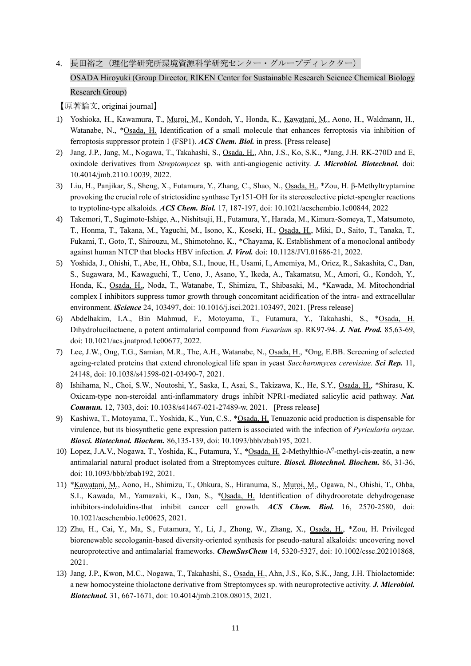4. 長田裕之(理化学研究所環境資源科学研究センター・グループディレクター)

## OSADA Hiroyuki (Group Director, RIKEN Center for Sustainable Research Science Chemical Biology Research Group)

- 1) Yoshioka, H., Kawamura, T., Muroi, M., Kondoh, Y., Honda, K., Kawatani, M., Aono, H., Waldmann, H., Watanabe, N., \*Osada, H. Identification of a small molecule that enhances ferroptosis via inhibition of ferroptosis suppressor protein 1 (FSP1). *ACS Chem. Biol.* in press. [Press release]
- 2) Jang, J.P., Jang, M., Nogawa, T., Takahashi, S., Osada, H., Ahn, J.S., Ko, S.K., \*Jang, J.H. RK-270D and E, oxindole derivatives from *Streptomyces* sp. with anti-angiogenic activity. *J. Microbiol. Biotechnol.* doi: 10.4014/jmb.2110.10039, 2022.
- 3) Liu, H., Panjikar, S., Sheng, X., Futamura, Y., Zhang, C., Shao, N., Osada, H., \*Zou, H. β-Methyltryptamine provoking the crucial role of strictosidine synthase Tyr151-OH for its stereoselective pictet-spengler reactions to tryptoline-type alkaloids. *ACS Chem. Biol.* 17, 187-197, doi: 10.1021/acschembio.1c00844, 2022
- 4) Takemori, T., Sugimoto-Ishige, A., Nishitsuji, H., Futamura, Y., Harada, M., Kimura-Someya, T., Matsumoto, T., Honma, T., Takana, M., Yaguchi, M., Isono, K., Koseki, H., Osada, H., Miki, D., Saito, T., Tanaka, T., Fukami, T., Goto, T., Shirouzu, M., Shimotohno, K., \*Chayama, K. Establishment of a monoclonal antibody against human NTCP that blocks HBV infection. *J. Virol.* doi: 10.1128/JVI.01686-21, 2022.
- 5) Yoshida, J., Ohishi, T., Abe, H., Ohba, S.I., Inoue, H., Usami, I., Amemiya, M., Oriez, R., Sakashita, C., Dan, S., Sugawara, M., Kawaguchi, T., Ueno, J., Asano, Y., Ikeda, A., Takamatsu, M., Amori, G., Kondoh, Y., Honda, K., Osada, H., Noda, T., Watanabe, T., Shimizu, T., Shibasaki, M., \*Kawada, M. Mitochondrial complex I inhibitors suppress tumor growth through concomitant acidification of the intra- and extracellular environment. *iScience* 24, 103497, doi: 10.1016/j.isci.2021.103497, 2021. [Press release]
- 6) Abdelhakim, I.A., Bin Mahmud, F., Motoyama, T., Futamura, Y., Takahashi, S., \*Osada, H. Dihydrolucilactaene, a potent antimalarial compound from *Fusarium* sp. RK97-94. *J. Nat. Prod.* 85,63-69, doi: 10.1021/acs.jnatprod.1c00677, 2022.
- 7) Lee, J.W., Ong, T.G., Samian, M.R., The, A.H., Watanabe, N., Osada, H., \*Ong, E.BB. Screening of selected ageing-related proteins that extend chronological life span in yeast *Saccharomyces cerevisiae. Sci Rep.* 11, 24148, doi: 10.1038/s41598-021-03490-7, 2021.
- 8) Ishihama, N., Choi, S.W., Noutoshi, Y., Saska, I., Asai, S., Takizawa, K., He, S.Y., Osada, H., \*Shirasu, K. Oxicam-type non-steroidal anti-inflammatory drugs inhibit NPR1-mediated salicylic acid pathway. *Nat. Commun.* 12, 7303, doi: 10.1038/s41467-021-27489-w, 2021. [Press release]
- 9) Kashiwa, T., Motoyama, T., Yoshida, K., Yun, C.S., \*Osada, H. Tenuazonic acid production is dispensable for virulence, but its biosynthetic gene expression pattern is associated with the infection of *Pyricularia oryzae*. *Biosci. Biotechnol. Biochem.* 86,135-139, doi: 10.1093/bbb/zbab195, 2021.
- 10) Lopez, J.A.V., Nogawa, T., Yoshida, K., Futamura, Y., \*Osada, H. 2-Methylthio-*N* 7 -methyl-cis-zeatin, a new antimalarial natural product isolated from a Streptomyces culture. *Biosci. Biotechnol. Biochem.* 86, 31-36, doi: 10.1093/bbb/zbab192, 2021.
- 11) \*Kawatani, M., Aono, H., Shimizu, T., Ohkura, S., Hiranuma, S., Muroi, M., Ogawa, N., Ohishi, T., Ohba, S.I., Kawada, M., Yamazaki, K., Dan, S., \*Osada, H. Identification of dihydroorotate dehydrogenase inhibitors-indoluidins-that inhibit cancer cell growth. *ACS Chem. Biol.* 16, 2570-2580, doi: 10.1021/acschembio.1c00625, 2021.
- 12) Zhu, H., Cai, Y., Ma, S., Futamura, Y., Li, J., Zhong, W., Zhang, X., Osada, H., \*Zou, H. Privileged biorenewable secologanin-based diversity-oriented synthesis for pseudo-natural alkaloids: uncovering novel neuroprotective and antimalarial frameworks. *ChemSusChem* 14, 5320-5327, doi: 10.1002/cssc.202101868, 2021.
- 13) Jang, J.P., Kwon, M.C., Nogawa, T., Takahashi, S., Osada, H., Ahn, J.S., Ko, S.K., Jang, J.H. Thiolactomide: a new homocysteine thiolactone derivative from Streptomyces sp. with neuroprotective activity. *J. Microbiol. Biotechnol.* 31, 667-1671, doi: 10.4014/jmb.2108.08015, 2021.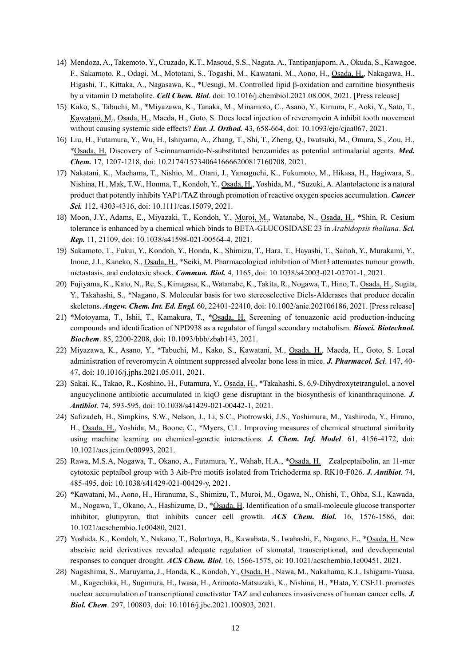- 14) Mendoza, A., Takemoto, Y., Cruzado, K.T., Masoud, S.S., Nagata, A., Tantipanjaporn, A., Okuda, S., Kawagoe, F., Sakamoto, R., Odagi, M., Mototani, S., Togashi, M., Kawatani, M., Aono, H., Osada, H., Nakagawa, H., Higashi, T., Kittaka, A., Nagasawa, K., \*Uesugi, M. Controlled lipid β-oxidation and carnitine biosynthesis by a vitamin D metabolite. *Cell Chem. Biol*. doi: 10.1016/j.chembiol.2021.08.008, 2021. [Press release]
- 15) Kako, S., Tabuchi, M., \*Miyazawa, K., Tanaka, M., Minamoto, C., Asano, Y., Kimura, F., Aoki, Y., Sato, T., Kawatani, M., Osada, H., Maeda, H., Goto, S. Does local injection of reveromycin A inhibit tooth movement without causing systemic side effects? *Eur. J. Orthod.* 43, 658-664, doi: 10.1093/ejo/cjaa067, 2021.
- 16) Liu, H., Futamura, Y., Wu, H., Ishiyama, A., Zhang, T., Shi, T., Zheng, Q., Iwatsuki, M., Ōmura, S., Zou, H., \*Osada, H. Discovery of 3-cinnamamido-N-substituted benzamides as potential antimalarial agents. *Med. Chem.* 17, 1207-1218, doi: 10.2174/1573406416666200817160708, 2021.
- 17) Nakatani, K., Maehama, T., Nishio, M., Otani, J., Yamaguchi, K., Fukumoto, M., Hikasa, H., Hagiwara, S., Nishina, H., Mak, T.W., Honma, T., Kondoh, Y., Osada, H., Yoshida, M., \*Suzuki, A. Alantolactone is a natural product that potently inhibits YAP1/TAZ through promotion of reactive oxygen species accumulation. *Cancer Sci.* 112, 4303-4316, doi: 10.1111/cas.15079, 2021.
- 18) Moon, J.Y., Adams, E., Miyazaki, T., Kondoh, Y., Muroi, M., Watanabe, N., Osada, H., \*Shin, R. Cesium tolerance is enhanced by a chemical which binds to BETA-GLUCOSIDASE 23 in *Arabidopsis thaliana*. *Sci. Rep.* 11, 21109, doi: 10.1038/s41598-021-00564-4, 2021.
- 19) Sakamoto, T., Fukui, Y., Kondoh, Y., Honda, K., Shimizu, T., Hara, T., Hayashi, T., Saitoh, Y., Murakami, Y., Inoue, J.I., Kaneko, S., Osada, H., \*Seiki, M. Pharmacological inhibition of Mint3 attenuates tumour growth, metastasis, and endotoxic shock. *Commun. Biol.* 4, 1165, doi: 10.1038/s42003-021-02701-1, 2021.
- 20) Fujiyama, K., Kato, N., Re, S., Kinugasa, K., Watanabe, K., Takita, R., Nogawa, T., Hino, T., Osada, H., Sugita, Y., Takahashi, S., \*Nagano, S. Molecular basis for two stereoselective Diels-Alderases that produce decalin skeletons. *Angew. Chem. Int. Ed. Engl.* 60, 22401-22410, doi: 10.1002/anie.202106186, 2021. [Press release]
- 21) \*Motoyama, T., Ishii, T., Kamakura, T., \*Osada, H. Screening of tenuazonic acid production-inducing compounds and identification of NPD938 as a regulator of fungal secondary metabolism. *Biosci. Biotechnol. Biochem*. 85, 2200-2208, doi: 10.1093/bbb/zbab143, 2021.
- 22) Miyazawa, K., Asano, Y., \*Tabuchi, M., Kako, S., Kawatani, M., Osada, H., Maeda, H., Goto, S. Local administration of reveromycin A ointment suppressed alveolar bone loss in mice. *J. Pharmacol. Sci*. 147, 40- 47, doi: 10.1016/j.jphs.2021.05.011, 2021.
- 23) Sakai, K., Takao, R., Koshino, H., Futamura, Y., Osada, H., \*Takahashi, S. 6,9-Dihydroxytetrangulol, a novel angucyclinone antibiotic accumulated in kiqO gene disruptant in the biosynthesis of kinanthraquinone. *J. Antibiot*. 74, 593-595, doi: 10.1038/s41429-021-00442-1, 2021.
- 24) Safizadeh, H., Simpkins, S.W., Nelson, J., Li, S.C., Piotrowski, J.S., Yoshimura, M., Yashiroda, Y., Hirano, H., Osada, H., Yoshida, M., Boone, C., \*Myers, C.L. Improving measures of chemical structural similarity using machine learning on chemical-genetic interactions. *J. Chem. Inf. Model*. 61, 4156-4172, doi: 10.1021/acs.jcim.0c00993, 2021.
- 25) Rawa, M.S.A, Nogawa, T., Okano, A., Futamura, Y., Wahab, H.A., \*Osada, H. Zealpeptaibolin, an 11-mer cytotoxic peptaibol group with 3 Aib-Pro motifs isolated from Trichoderma sp. RK10-F026. *J. Antibiot*. 74, 485-495, doi: 10.1038/s41429-021-00429-y, 2021.
- 26) \*Kawatani, M., Aono, H., Hiranuma, S., Shimizu, T., Muroi, M., Ogawa, N., Ohishi, T., Ohba, S.I., Kawada, M., Nogawa, T., Okano, A., Hashizume, D., \*Osada, H. Identification of a small-molecule glucose transporter inhibitor, glutipyran, that inhibits cancer cell growth. *ACS Chem. Biol.* 16, 1576-1586, doi: 10.1021/acschembio.1c00480, 2021.
- 27) Yoshida, K., Kondoh, Y., Nakano, T., Bolortuya, B., Kawabata, S., Iwahashi, F., Nagano, E., \*Osada, H. New abscisic acid derivatives revealed adequate regulation of stomatal, transcriptional, and developmental responses to conquer drought. *ACS Chem. Biol*. 16, 1566-1575, oi: 10.1021/acschembio.1c00451, 2021.
- 28) Nagashima, S., Maruyama, J., Honda, K., Kondoh, Y., Osada, H., Nawa, M., Nakahama, K.I., Ishigami-Yuasa, M., Kagechika, H., Sugimura, H., Iwasa, H., Arimoto-Matsuzaki, K., Nishina, H., \*Hata, Y. CSE1L promotes nuclear accumulation of transcriptional coactivator TAZ and enhances invasiveness of human cancer cells. *J. Biol. Chem*. 297, 100803, doi: 10.1016/j.jbc.2021.100803, 2021.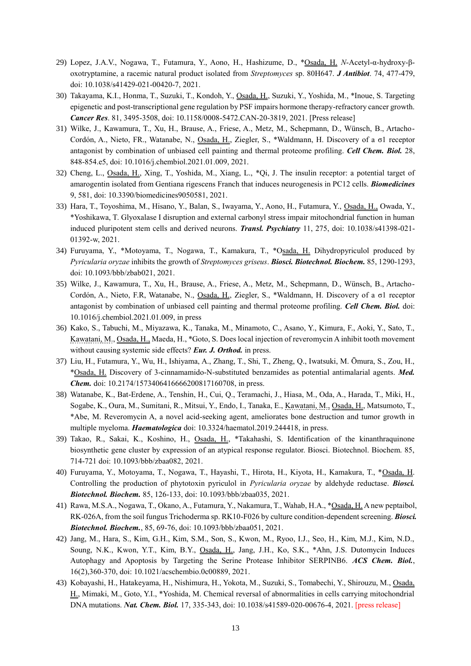- 29) Lopez, J.A.V., Nogawa, T., Futamura, Y., Aono, H., Hashizume, D., \*Osada, H. *N*-Acetyl-α-hydroxy-βoxotryptamine, a racemic natural product isolated from *Streptomyces* sp. 80H647. *J Antibiot*. 74, 477-479, doi: 10.1038/s41429-021-00420-7, 2021.
- 30) Takayama, K.I., Honma, T., Suzuki, T., Kondoh, Y., Osada, H., Suzuki, Y., Yoshida, M., \*Inoue, S. Targeting epigenetic and post-transcriptional gene regulation by PSF impairs hormone therapy-refractory cancer growth. *Cancer Res*. 81, 3495-3508, doi: 10.1158/0008-5472.CAN-20-3819, 2021. [Press release]
- 31) Wilke, J., Kawamura, T., Xu, H., Brause, A., Friese, A., Metz, M., Schepmann, D., Wünsch, B., Artacho-Cordón, A., Nieto, FR., Watanabe, N., Osada, H., Ziegler, S., \*Waldmann, H. Discovery of a σ1 receptor antagonist by combination of unbiased cell painting and thermal proteome profiling. *Cell Chem. Biol.* 28, 848-854.e5, doi: 10.1016/j.chembiol.2021.01.009, 2021.
- 32) Cheng, L., Osada, H., Xing, T., Yoshida, M., Xiang, L., \*Qi, J. The insulin receptor: a potential target of amarogentin isolated from Gentiana rigescens Franch that induces neurogenesis in PC12 cells. *Biomedicines* 9, 581, doi: 10.3390/biomedicines9050581, 2021.
- 33) Hara, T., Toyoshima, M., Hisano, Y., Balan, S., Iwayama, Y., Aono, H., Futamura, Y., Osada, H., Owada, Y., \*Yoshikawa, T. Glyoxalase I disruption and external carbonyl stress impair mitochondrial function in human induced pluripotent stem cells and derived neurons. *Transl. Psychiatry* 11, 275, doi: 10.1038/s41398-021- 01392-w, 2021.
- 34) Furuyama, Y., \*Motoyama, T., Nogawa, T., Kamakura, T., \*Osada, H. Dihydropyriculol produced by *Pyricularia oryzae* inhibits the growth of *Streptomyces griseus*. *Biosci. Biotechnol. Biochem.* 85, 1290-1293, doi: 10.1093/bbb/zbab021, 2021.
- 35) Wilke, J., Kawamura, T., Xu, H., Brause, A., Friese, A., Metz, M., Schepmann, D., Wünsch, B., Artacho-Cordón, A., Nieto, F.R, Watanabe, N., Osada, H., Ziegler, S., \*Waldmann, H. Discovery of a σ1 receptor antagonist by combination of unbiased cell painting and thermal proteome profiling. *Cell Chem. Biol.* doi: 10.1016/j.chembiol.2021.01.009, in press
- 36) Kako, S., Tabuchi, M., Miyazawa, K., Tanaka, M., Minamoto, C., Asano, Y., Kimura, F., Aoki, Y., Sato, T., Kawatani, M., Osada, H., Maeda, H., \*Goto, S. Does local injection of reveromycin A inhibit tooth movement without causing systemic side effects? *Eur. J. Orthod.* in press.
- 37) Liu, H., Futamura, Y., Wu, H., Ishiyama, A., Zhang, T., Shi, T., Zheng, Q., Iwatsuki, M. Ōmura, S., Zou, H., \*Osada, H. Discovery of 3-cinnamamido-N-substituted benzamides as potential antimalarial agents. *Med. Chem.* doi: 10.2174/1573406416666200817160708, in press.
- 38) Watanabe, K., Bat-Erdene, A., Tenshin, H., Cui, Q., Teramachi, J., Hiasa, M., Oda, A., Harada, T., Miki, H., Sogabe, K., Oura, M., Sumitani, R., Mitsui, Y., Endo, I., Tanaka, E., Kawatani, M., Osada, H., Matsumoto, T., \*Abe, M. Reveromycin A, a novel acid-seeking agent, ameliorates bone destruction and tumor growth in multiple myeloma. *Haematologica* doi: 10.3324/haematol.2019.244418, in press.
- 39) Takao, R., Sakai, K., Koshino, H., Osada, H., \*Takahashi, S. Identification of the kinanthraquinone biosynthetic gene cluster by expression of an atypical response regulator. Biosci. Biotechnol. Biochem. 85, 714-721 doi: 10.1093/bbb/zbaa082, 2021.
- 40) Furuyama, Y., Motoyama, T., Nogawa, T., Hayashi, T., Hirota, H., Kiyota, H., Kamakura, T., \*Osada, H. Controlling the production of phytotoxin pyriculol in *Pyricularia oryzae* by aldehyde reductase. *Biosci. Biotechnol. Biochem.* 85, 126-133, doi: 10.1093/bbb/zbaa035, 2021.
- 41) Rawa, M.S.A., Nogawa, T., Okano, A., Futamura, Y., Nakamura, T., Wahab, H.A., \*Osada, H. A new peptaibol, RK-026A, from the soil fungus Trichoderma sp. RK10-F026 by culture condition-dependent screening. *Biosci. Biotechnol. Biochem.*, 85, 69-76, doi: 10.1093/bbb/zbaa051, 2021.
- 42) Jang, M., Hara, S., Kim, G.H., Kim, S.M., Son, S., Kwon, M., Ryoo, I.J., Seo, H., Kim, M.J., Kim, N.D., Soung, N.K., Kwon, Y.T., Kim, B.Y., Osada, H., Jang, J.H., Ko, S.K., \*Ahn, J.S. Dutomycin Induces Autophagy and Apoptosis by Targeting the Serine Protease Inhibitor SERPINB6. *ACS Chem. Biol.*, 16(2),360-370, doi: 10.1021/acschembio.0c00889, 2021.
- 43) Kobayashi, H., Hatakeyama, H., Nishimura, H., Yokota, M., Suzuki, S., Tomabechi, Y., Shirouzu, M., Osada, H., Mimaki, M., Goto, Y.I., \*Yoshida, M. Chemical reversal of abnormalities in cells carrying mitochondrial DNA mutations. *Nat. Chem. Biol.* 17, 335-343, doi: 10.1038/s41589-020-00676-4, 2021. [press release]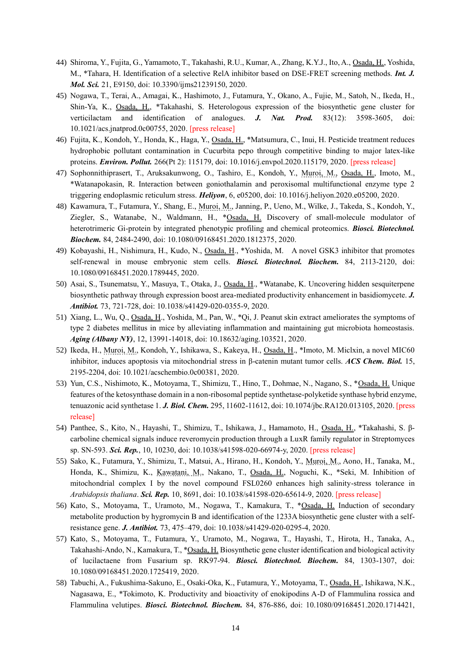- 44) Shiroma, Y., Fujita, G., Yamamoto, T., Takahashi, R.U., Kumar, A., Zhang, K.Y.J., Ito, A., Osada, H., Yoshida, M., \*Tahara, H. Identification of a selective RelA inhibitor based on DSE-FRET screening methods. *Int. J. Mol. Sci.* 21, E9150, doi: 10.3390/ijms21239150, 2020.
- 45) Nogawa, T., Terai, A., Amagai, K., Hashimoto, J., Futamura, Y., Okano, A., Fujie, M., Satoh, N., Ikeda, H., Shin-Ya, K., Osada, H., \*Takahashi, S. Heterologous expression of the biosynthetic gene cluster for verticilactam and identification of analogues. *J. Nat. Prod.* 83(12): 3598-3605, doi: 10.1021/acs.jnatprod.0c00755, 2020. [press release]
- 46) Fujita, K., Kondoh, Y., Honda, K., Haga, Y., Osada, H., \*Matsumura, C., Inui, H. Pesticide treatment reduces hydrophobic pollutant contamination in Cucurbita pepo through competitive binding to major latex-like proteins. *Environ. Pollut.* 266(Pt 2): 115179, doi: 10.1016/j.envpol.2020.115179, 2020. [press release]
- 47) Sophonnithiprasert, T., Aruksakunwong, O., Tashiro, E., Kondoh, Y., Muroi, M., Osada, H., Imoto, M., \*Watanapokasin, R. Interaction between goniothalamin and peroxisomal multifunctional enzyme type 2 triggering endoplasmic reticulum stress. *Heliyon*, 6, e05200, doi: 10.1016/j.heliyon.2020.e05200, 2020.
- 48) Kawamura, T., Futamura, Y., Shang, E., Muroi, M., Janning, P., Ueno, M., Wilke, J., Takeda, S., Kondoh, Y., Ziegler, S., Watanabe, N., Waldmann, H., \*Osada, H. Discovery of small-molecule modulator of heterotrimeric Gi-protein by integrated phenotypic profiling and chemical proteomics. *Biosci. Biotechnol. Biochem.* 84, 2484-2490, doi: 10.1080/09168451.2020.1812375, 2020.
- 49) Kobayashi, H., Nishimura, H., Kudo, N., Osada, H., \*Yoshida, M. A novel GSK3 inhibitor that promotes self-renewal in mouse embryonic stem cells. *Biosci. Biotechnol. Biochem.* 84, 2113-2120, doi: 10.1080/09168451.2020.1789445, 2020.
- 50) Asai, S., Tsunematsu, Y., Masuya, T., Otaka, J., Osada, H., \*Watanabe, K. Uncovering hidden sesquiterpene biosynthetic pathway through expression boost area-mediated productivity enhancement in basidiomycete. *J. Antibiot.* 73, 721-728, doi: 10.1038/s41429-020-0355-9, 2020.
- 51) Xiang, L., Wu, Q., Osada, H., Yoshida, M., Pan, W., \*Qi, J. Peanut skin extract ameliorates the symptoms of type 2 diabetes mellitus in mice by alleviating inflammation and maintaining gut microbiota homeostasis. *Aging (Albany NY)*, 12, 13991-14018, doi: 10.18632/aging.103521, 2020.
- 52) Ikeda, H., Muroi, M., Kondoh, Y., Ishikawa, S., Kakeya, H., Osada, H., \*Imoto, M. Miclxin, a novel MIC60 inhibitor, induces apoptosis via mitochondrial stress in β-catenin mutant tumor cells. *ACS Chem. Biol.* 15, 2195-2204, doi: 10.1021/acschembio.0c00381, 2020.
- 53) Yun, C.S., Nishimoto, K., Motoyama, T., Shimizu, T., Hino, T., Dohmae, N., Nagano, S., \*Osada, H. Unique features of the ketosynthase domain in a non-ribosomal peptide synthetase-polyketide synthase hybrid enzyme, tenuazonic acid synthetase 1. *J. Biol. Chem.* 295, 11602-11612, doi: 10.1074/jbc.RA120.013105, 2020. [press release]
- 54) Panthee, S., Kito, N., Hayashi, T., Shimizu, T., Ishikawa, J., Hamamoto, H., Osada, H., \*Takahashi, S. βcarboline chemical signals induce reveromycin production through a LuxR family regulator in Streptomyces sp. SN-593. *Sci. Rep.*, 10, 10230, doi: 10.1038/s41598-020-66974-y, 2020. [press release]
- 55) Sako, K., Futamura, Y., Shimizu, T., Matsui, A., Hirano, H., Kondoh, Y., Muroi, M., Aono, H., Tanaka, M., Honda, K., Shimizu, K., Kawatani, M., Nakano, T., Osada, H., Noguchi, K., \*Seki, M. Inhibition of mitochondrial complex I by the novel compound FSL0260 enhances high salinity-stress tolerance in *Arabidopsis thaliana*. *Sci. Rep.* 10, 8691, doi: 10.1038/s41598-020-65614-9, 2020. [press release]
- 56) Kato, S., Motoyama, T., Uramoto, M., Nogawa, T., Kamakura, T., \*Osada, H. Induction of secondary metabolite production by hygromycin B and identification of the 1233A biosynthetic gene cluster with a selfresistance gene. *J. Antibiot.* 73, 475–479, doi: 10.1038/s41429-020-0295-4, 2020.
- 57) Kato, S., Motoyama, T., Futamura, Y., Uramoto, M., Nogawa, T., Hayashi, T., Hirota, H., Tanaka, A., Takahashi-Ando, N., Kamakura, T., \*Osada, H. Biosynthetic gene cluster identification and biological activity of lucilactaene from Fusarium sp. RK97-94. *Biosci. Biotechnol. Biochem.* 84, 1303-1307, doi: 10.1080/09168451.2020.1725419, 2020.
- 58) Tabuchi, A., Fukushima-Sakuno, E., Osaki-Oka, K., Futamura, Y., Motoyama, T., Osada, H., Ishikawa, N.K., Nagasawa, E., \*Tokimoto, K. Productivity and bioactivity of enokipodins A-D of Flammulina rossica and Flammulina velutipes. *Biosci. Biotechnol. Biochem.* 84, 876-886, doi: 10.1080/09168451.2020.1714421,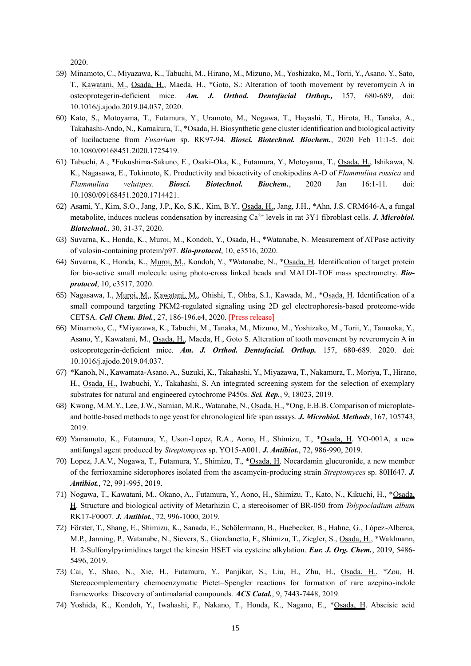2020.

- 59) Minamoto, C., Miyazawa, K., Tabuchi, M., Hirano, M., Mizuno, M., Yoshizako, M., Torii, Y., Asano, Y., Sato, T., Kawatani, M., Osada, H., Maeda, H., \*Goto, S.: Alteration of tooth movement by reveromycin A in osteoprotegerin-deficient mice. *Am. J. Orthod. Dentofacial Orthop.,* 157, 680-689, doi: 10.1016/j.ajodo.2019.04.037, 2020.
- 60) Kato, S., Motoyama, T., Futamura, Y., Uramoto, M., Nogawa, T., Hayashi, T., Hirota, H., Tanaka, A., Takahashi-Ando, N., Kamakura, T., \*Osada, H. Biosynthetic gene cluster identification and biological activity of lucilactaene from *Fusarium* sp. RK97-94. *Biosci. Biotechnol. Biochem.*, 2020 Feb 11:1-5. doi: 10.1080/09168451.2020.1725419.
- 61) Tabuchi, A., \*Fukushima-Sakuno, E., Osaki-Oka, K., Futamura, Y., Motoyama, T., Osada, H., Ishikawa, N. K., Nagasawa, E., Tokimoto, K. Productivity and bioactivity of enokipodins A-D of *Flammulina rossica* and *Flammulina velutipes*. *Biosci. Biotechnol. Biochem.*, 2020 Jan 16:1-11. doi: 10.1080/09168451.2020.1714421.
- 62) Asami, Y., Kim, S.O., Jang, J.P., Ko, S.K., Kim, B.Y., Osada, H., Jang, J.H., \*Ahn, J.S. CRM646-A, a fungal metabolite, induces nucleus condensation by increasing Ca2+ levels in rat 3Y1 fibroblast cells. *J. Microbiol. Biotechnol.*, 30, 31-37, 2020.
- 63) Suvarna, K., Honda, K., Muroi, M., Kondoh, Y., Osada, H., \*Watanabe, N. Measurement of ATPase activity of valosin-containing protein/p97. *Bio-protocol*, 10, e3516, 2020.
- 64) Suvarna, K., Honda, K., Muroi, M., Kondoh, Y., \*Watanabe, N., \*Osada, H. Identification of target protein for bio-active small molecule using photo-cross linked beads and MALDI-TOF mass spectrometry. *Bioprotocol*, 10, e3517, 2020.
- 65) Nagasawa, I., Muroi, M., Kawatani, M., Ohishi, T., Ohba, S.I., Kawada, M., \*Osada, H. Identification of a small compound targeting PKM2-regulated signaling using 2D gel electrophoresis-based proteome-wide CETSA. *Cell Chem. Biol.*, 27, 186-196.e4, 2020. [Press release]
- 66) Minamoto, C., \*Miyazawa, K., Tabuchi, M., Tanaka, M., Mizuno, M., Yoshizako, M., Torii, Y., Tamaoka, Y., Asano, Y., Kawatani, M., Osada, H., Maeda, H., Goto S. Alteration of tooth movement by reveromycin A in osteoprotegerin-deficient mice. *Am. J. Orthod. Dentofacial. Orthop.* 157, 680-689. 2020. doi: 10.1016/j.ajodo.2019.04.037.
- 67) \*Kanoh, N., Kawamata-Asano, A., Suzuki, K., Takahashi, Y., Miyazawa, T., Nakamura, T., Moriya, T., Hirano, H., Osada, H., Iwabuchi, Y., Takahashi, S. An integrated screening system for the selection of exemplary substrates for natural and engineered cytochrome P450s. *Sci. Rep.*, 9, 18023, 2019.
- 68) Kwong, M.M.Y., Lee, J.W., Samian, M.R., Watanabe, N., Osada, H., \*Ong, E.B.B. Comparison of microplateand bottle-based methods to age yeast for chronological life span assays. *J. Microbiol. Methods*, 167, 105743, 2019.
- 69) Yamamoto, K., Futamura, Y., Uson-Lopez, R.A., Aono, H., Shimizu, T., \*Osada, H. YO-001A, a new antifungal agent produced by *Streptomyces* sp. YO15-A001. *J. Antibiot.*, 72, 986-990, 2019.
- 70) Lopez, J.A.V., Nogawa, T., Futamura, Y., Shimizu, T., \*Osada, H. Nocardamin glucuronide, a new member of the ferrioxamine siderophores isolated from the ascamycin-producing strain *Streptomyces* sp. 80H647. *J. Antibiot.*, 72, 991-995, 2019.
- 71) Nogawa, T., Kawatani, M., Okano, A., Futamura, Y., Aono, H., Shimizu, T., Kato, N., Kikuchi, H., \*Osada, H. Structure and biological activity of Metarhizin C, a stereoisomer of BR-050 from *Tolypocladium album* RK17-F0007. *J. Antibiot.*, 72, 996-1000, 2019.
- 72) Förster, T., Shang, E., Shimizu, K., Sanada, E., Schölermann, B., Huebecker, B., Hahne, G., López-Alberca, M.P., Janning, P., Watanabe, N., Sievers, S., Giordanetto, F., Shimizu, T., Ziegler, S., Osada, H., \*Waldmann, H. 2-Sulfonylpyrimidines target the kinesin HSET via cysteine alkylation. *Eur. J. Org. Chem.*, 2019, 5486- 5496, 2019.
- 73) Cai, Y., Shao, N., Xie, H., Futamura, Y., Panjikar, S., Liu, H., Zhu, H., Osada, H., \*Zou, H. Stereocomplementary chemoenzymatic Pictet–Spengler reactions for formation of rare azepino-indole frameworks: Discovery of antimalarial compounds. *ACS Catal.*, 9, 7443-7448, 2019.
- 74) Yoshida, K., Kondoh, Y., Iwahashi, F., Nakano, T., Honda, K., Nagano, E., \*Osada, H. Abscisic acid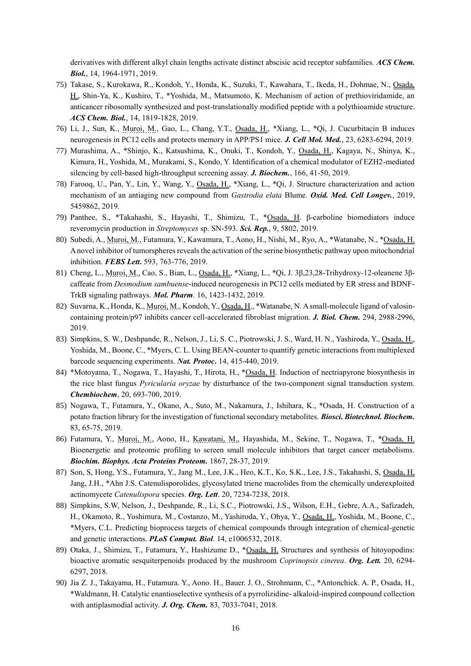derivatives with different alkyl chain lengths activate distinct abscisic acid receptor subfamilies. *ACS Chem. Biol.*, 14, 1964-1971, 2019.

- 75) Takase, S., Kurokawa, R., Kondoh, Y., Honda, K., Suzuki, T., Kawahara, T., Ikeda, H., Dohmae, N., Osada, H., Shin-Ya, K., Kushiro, T., \*Yoshida, M., Matsumoto, K. Mechanism of action of prethioviridamide, an anticancer ribosomally synthesized and post-translationally modified peptide with a polythioamide structure. *ACS Chem. Biol.*, 14, 1819-1828, 2019.
- 76) Li, J., Sun, K., Muroi, M., Gao, L., Chang, Y.T., Osada, H., \*Xiang, L., \*Qi, J. Cucurbitacin B induces neurogenesis in PC12 cells and protects memory in APP/PS1 mice. *J. Cell Mol. Med.*, 23, 6283-6294, 2019.
- 77) Murashima, A., \*Shinjo, K., Katsushima, K., Onuki, T., Kondoh, Y., Osada, H., Kagaya, N., Shinya, K., Kimura, H., Yoshida, M., Murakami, S., Kondo, Y. Identification of a chemical modulator of EZH2-mediated silencing by cell-based high-throughput screening assay. *J. Biochem.*, 166, 41-50, 2019.
- 78) Farooq, U., Pan, Y., Lin, Y., Wang, Y., Osada, H., \*Xiang, L., \*Qi, J. Structure characterization and action mechanism of an antiaging new compound from *Gastrodia elata* Blume. *Oxid. Med. Cell Longev.*, 2019, 5459862, 2019.
- 79) Panthee, S., \*Takahashi, S., Hayashi, T., Shimizu, T., \*Osada, H. β-carboline biomediators induce reveromycin production in *Streptomyces* sp. SN-593. *Sci. Rep.*, 9, 5802, 2019.
- 80) Subedi, A., Muroi, M., Futamura, Y., Kawamura, T., Aono, H., Nishi, M., Ryo, A., \*Watanabe, N., \*Osada, H. A novel inhibitor of tumorspheres reveals the activation of the serine biosynthetic pathway upon mitochondrial inhibition. *FEBS Lett***.** 593, 763-776, 2019.
- 81) Cheng, L., Muroi, M., Cao, S., Bian, L., Osada, H., \*Xiang, L., \*Qi, J. 3β,23,28-Trihydroxy-12-oleanene 3βcaffeate from *Desmodium sambuense*-induced neurogenesis in PC12 cells mediated by ER stress and BDNF-TrkB signaling pathways. *Mol. Pharm.* 16, 1423-1432, 2019.
- 82) Suvarna, K., Honda, K., Muroi, M., Kondoh, Y., Osada, H., \*Watanabe, N. A small-molecule ligand of valosincontaining protein/p97 inhibits cancer cell-accelerated fibroblast migration. *J. Biol. Chem.* 294, 2988-2996, 2019.
- 83) Simpkins, S. W., Deshpande, R., Nelson, J., Li, S. C., Piotrowski, J. S., Ward, H. N., Yashiroda, Y., Osada, H., Yoshida, M., Boone, C., \*Myers, C. L. Using BEAN-counter to quantify genetic interactions from multiplexed barcode sequencing experiments. *Nat. Protoc***.** 14, 415-440, 2019.
- 84) \*Motoyama, T., Nogawa, T., Hayashi, T., Hirota, H., \*Osada, H. Induction of nectriapyrone biosynthesis in the rice blast fungus *Pyricularia oryzae* by disturbance of the two-component signal transduction system. *Chembiochem*, 20, 693-700, 2019.
- 85) Nogawa, T., Futamura, Y., Okano, A., Suto, M., Nakamura, J., Ishihara, K., \*Osada, H. Construction of a potato fraction library for the investigation of functional secondary metabolites. *Biosci. Biotechnol. Biochem.* 83, 65-75, 2019.
- 86) Futamura, Y., Muroi, M., Aono, H., Kawatani, M., Hayashida, M., Sekine, T., Nogawa, T., \*Osada, H. Bioenergetic and proteomic profiling to screen small molecule inhibitors that target cancer metabolisms. *Biochim. Biophys. Acta Proteins Proteom.* 1867, 28-37, 2019.
- 87) Son, S, Hong, Y.S., Futamura, Y., Jang M., Lee, J.K., Heo, K.T., Ko, S.K., Lee, J.S., Takahashi, S, Osada, H, Jang, J.H., \*Ahn J.S. Catenulisporolides, glycosylated triene macrolides from the chemically underexploited actinomycete *Catenulispora* species. *Org. Lett*. 20, 7234-7238, 2018.
- 88) Simpkins, S.W, Nelson, J., Deshpande, R., Li, S.C., Piotrowski, J.S., Wilson, E.H., Gebre, A.A., Safizadeh, H., Okamoto, R., Yoshimura, M., Costanzo, M., Yashiroda, Y., Ohya, Y., Osada, H., Yoshida, M., Boone, C., \*Myers, C.L. Predicting bioprocess targets of chemical compounds through integration of chemical-genetic and genetic interactions. *PLoS Comput. Biol*. 14, e1006532, 2018.
- 89) Otaka, J., Shimizu, T., Futamura, Y., Hashizume D., \*Osada, H. Structures and synthesis of hitoyopodins: bioactive aromatic sesquiterpenoids produced by the mushroom *Coprinopsis cinerea*. *Org. Lett.* 20, 6294- 6297, 2018.
- 90) Jia Z. J., Takayama, H., Futamura. Y., Aono. H., Bauer. J. O., Strohmann, C., \*Antonchick. A. P., Osada, H., \*Waldmann, H. Catalytic enantioselective synthesis of a pyrrolizidine- alkaloid-inspired compound collection with antiplasmodial activity. *J. Org. Chem.* 83, 7033-7041, 2018.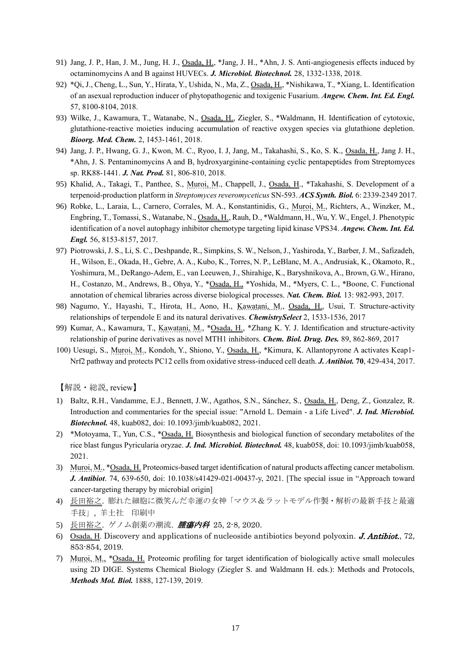- 91) Jang, J. P., Han, J. M., Jung, H. J., Osada, H., \*Jang, J. H., \*Ahn, J. S. Anti-angiogenesis effects induced by octaminomycins A and B against HUVECs. *J. Microbiol. Biotechnol.* 28, 1332-1338, 2018.
- 92) \*Qi, J., Cheng, L., Sun, Y., Hirata, Y., Ushida, N., Ma, Z., Osada, H., \*Nishikawa, T., \*Xiang, L. Identification of an asexual reproduction inducer of phytopathogenic and toxigenic Fusarium. *Angew. Chem. Int. Ed. Engl.* 57, 8100-8104, 2018.
- 93) Wilke, J., Kawamura, T., Watanabe, N., Osada, H., Ziegler, S., \*Waldmann, H. Identification of cytotoxic, glutathione-reactive moieties inducing accumulation of reactive oxygen species via glutathione depletion. *Bioorg. Med. Chem.* 2, 1453-1461, 2018.
- 94) Jang, J. P., Hwang, G. J., Kwon, M. C., Ryoo, I. J, Jang, M., Takahashi, S., Ko, S. K., Osada, H., Jang J. H., \*Ahn, J. S. Pentaminomycins A and B, hydroxyarginine-containing cyclic pentapeptides from Streptomyces sp. RK88-1441. *J. Nat. Prod.* 81, 806-810, 2018.
- 95) Khalid, A., Takagi, T., Panthee, S., Muroi, M., Chappell, J., Osada, H., \*Takahashi, S. Development of a terpenoid-production platform in *Streptomyces reveromyceticus* SN-593. *ACS Synth. Biol.* 6: 2339-2349 2017.
- 96) Robke, L., Laraia, L., Carnero, Corrales, M. A., Konstantinidis, G., Muroi, M., Richters, A., Winzker, M., Engbring, T., Tomassi, S., Watanabe, N., Osada, H., Rauh, D., \*Waldmann, H., Wu, Y. W., Engel, J. Phenotypic identification of a novel autophagy inhibitor chemotype targeting lipid kinase VPS34. *Angew. Chem. Int. Ed. Engl.* 56, 8153-8157, 2017.
- 97) Piotrowski, J. S., Li, S. C., Deshpande, R., Simpkins, S. W., Nelson, J., Yashiroda, Y., Barber, J. M., Safizadeh, H., Wilson, E., Okada, H., Gebre, A. A., Kubo, K., Torres, N. P., LeBlanc, M. A., Andrusiak, K., Okamoto, R., Yoshimura, M., DeRango-Adem, E., van Leeuwen, J., Shirahige, K., Baryshnikova, A., Brown, G.W., Hirano, H., Costanzo, M., Andrews, B., Ohya, Y., \*Osada, H., \*Yoshida, M., \*Myers, C. L., \*Boone, C. Functional annotation of chemical libraries across diverse biological processes. *Nat. Chem. Biol.* 13: 982-993, 2017.
- 98) Nagumo, Y., Hayashi, T., Hirota, H., Aono, H., Kawatani, M., Osada, H., Usui, T. Structure-activity relationships of terpendole E and its natural derivatives. *ChemistrySelect* 2, 1533-1536, 2017
- 99) Kumar, A., Kawamura, T., Kawatani, M., \*Osada, H., \*Zhang K. Y. J. Identification and structure-activity relationship of purine derivatives as novel MTH1 inhibitors. *Chem. Biol. Drug. Des.* 89, 862-869, 2017
- 100) Uesugi, S., Muroi, M., Kondoh, Y., Shiono, Y., Osada, H., \*Kimura, K. Allantopyrone A activates Keap1- Nrf2 pathway and protects PC12 cells from oxidative stress-induced cell death. *J. Antibiot.* **70**, 429-434, 2017.

【解説・総説, review】

- 1) Baltz, R.H., Vandamme, E.J., Bennett, J.W., Agathos, S.N., Sánchez, S., Osada, H., Deng, Z., Gonzalez, R. Introduction and commentaries for the special issue: "Arnold L. Demain - a Life Lived". *J. Ind. Microbiol. Biotechnol.* 48, kuab082, doi: 10.1093/jimb/kuab082, 2021.
- 2) \*Motoyama, T., Yun, C.S., \*Osada, H. Biosynthesis and biological function of secondary metabolites of the rice blast fungus Pyricularia oryzae. *J. Ind. Microbiol. Biotechnol.* 48, kuab058, doi: 10.1093/jimb/kuab058, 2021.
- 3) Muroi, M., \*Osada, H. Proteomics-based target identification of natural products affecting cancer metabolism. *J. Antibiot*. 74, 639-650, doi: 10.1038/s41429-021-00437-y, 2021. [The special issue in "Approach toward cancer-targeting therapy by microbial origin]
- 4) 長田裕之. 膨れた細胞に微笑んだ幸運の女神「マウス&ラットモデル作製・解析の最新手技と最適 手技」, 羊土社 印刷中
- 5) 長田裕之. ゲノム創薬の潮流. **腫瘍内科 25**, 2-8, 2020.
- 6) Osada, H. Discovery and applications of nucleoside antibiotics beyond polyoxin. **J. Antibiot.**, 72, 853-854, 2019.
- 7) Muroi, M., \*Osada, H. Proteomic profiling for target identification of biologically active small molecules using 2D DIGE. Systems Chemical Biology (Ziegler S. and Waldmann H. eds.): Methods and Protocols, *Methods Mol. Biol.* 1888, 127-139, 2019.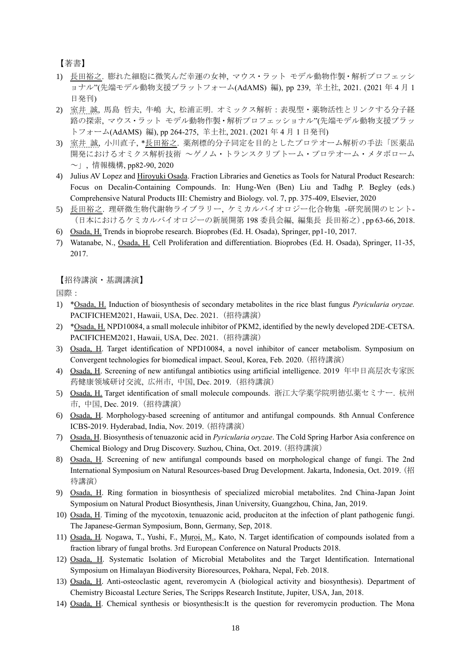【著書】

- 1) 長田裕之. 膨れた細胞に微笑んだ幸運の女神, マウス・ラット モデル動物作製・解析プロフェッシ ョナル"(先端モデル動物支援プラットフォーム(AdAMS) 編), pp 239, 羊土社, 2021. (2021 年 4 月 1 日発刊)
- 2) 室井 誠, 馬島 哲夫, 牛嶋 大, 松浦正明. オミックス解析:表現型・薬物活性とリンクする分子経 路の探索, マウス・ラット モデル動物作製・解析プロフェッショナル"(先端モデル動物支援プラッ トフォーム(AdAMS) 編), pp 264-275, 羊土社, 2021. (2021 年 4 月 1 日発刊)
- 3) 室井 誠, 小川直子, \*長田裕之. 薬剤標的分子同定を目的としたプロテオーム解析の手法「医薬品 開発におけるオミクス解析技術 ~ゲノム・トランスクリプトーム・プロテオーム・メタボローム ~」, 情報機構, pp82-90, 2020
- 4) Julius AV Lopez and Hiroyuki Osada. Fraction Libraries and Genetics as Tools for Natural Product Research: Focus on Decalin-Containing Compounds. In: Hung-Wen (Ben) Liu and Tadhg P. Begley (eds.) Comprehensive Natural Products III: Chemistry and Biology. vol. 7, pp. 375-409, Elsevier, 2020
- 5) 長田裕之. 理研微生物代謝物ライブラリー, ケミカルバイオロジー化合物集 -研究展開のヒント- (日本におけるケミカルバイオロジーの新展開第 198 委員会編, 編集長 長田裕之), pp 63-66, 2018.
- 6) Osada, H. Trends in bioprobe research. Bioprobes (Ed. H. Osada), Springer, pp1-10, 2017.
- 7) Watanabe, N., Osada, H. Cell Proliferation and differentiation. Bioprobes (Ed. H. Osada), Springer, 11-35, 2017.

【招待講演・基調講演】

国際:

- 1) \*Osada, H. Induction of biosynthesis of secondary metabolites in the rice blast fungus *Pyricularia oryzae.*  PACIFICHEM2021, Hawaii, USA, Dec. 2021. (招待講演)
- 2) \*Osada, H. NPD10084, a small molecule inhibitor of PKM2, identified by the newly developed 2DE-CETSA. PACIFICHEM2021, Hawaii, USA, Dec. 2021. (招待講演)
- 3) Osada, H. Target identification of NPD10084, a novel inhibitor of cancer metabolism. Symposium on Convergent technologies for biomedical impact. Seoul, Korea, Feb. 2020. (招待講演)
- 4) Osada, H. Screening of new antifungal antibiotics using artificial intelligence. 2019 年中日高层次专家医 药健康领域研讨交流, 広州市, 中国, Dec. 2019.(招待講演)
- 5) Osada, H. Target identification of small molecule compounds. 浙江大学薬学院明徳弘薬セミナー. 杭州 市, 中国, Dec. 2019.(招待講演)
- 6) Osada, H. Morphology-based screening of antitumor and antifungal compounds. 8th Annual Conference ICBS-2019. Hyderabad, India, Nov. 2019. (招待講演)
- 7) Osada, H. Biosynthesis of tenuazonic acid in *Pyricularia oryzae*. The Cold Spring Harbor Asia conference on Chemical Biology and Drug Discovery. Suzhou, China, Oct. 2019. (招待講演)
- 8) Osada, H. Screening of new antifungal compounds based on morphological change of fungi. The 2nd International Symposium on Natural Resources-based Drug Development. Jakarta, Indonesia, Oct. 2019. (招 待講演)
- 9) Osada, H. Ring formation in biosynthesis of specialized microbial metabolites. 2nd China-Japan Joint Symposium on Natural Product Biosynthesis, Jinan University, Guangzhou, China, Jan, 2019.
- 10) Osada, H. Timing of the mycotoxin, tenuazonic acid, produciton at the infection of plant pathogenic fungi. The Japanese-German Symposium, Bonn, Germany, Sep, 2018.
- 11) Osada, H. Nogawa, T., Yushi, F., Muroi, M., Kato, N. Target identification of compounds isolated from a fraction library of fungal broths. 3rd European Conference on Natural Products 2018.
- 12) Osada, H. Systematic Isolation of Microbial Metabolites and the Target Identification. International Symposium on Himalayan Biodiversity Bioresources, Pokhara, Nepal, Feb. 2018.
- 13) Osada, H. Anti-osteoclastic agent, reveromycin A (biological activity and biosynthesis). Department of Chemistry Bicoastal Lecture Series, The Scripps Research Institute, Jupiter, USA, Jan, 2018.
- 14) Osada, H. Chemical synthesis or biosynthesis:It is the question for reveromycin production. The Mona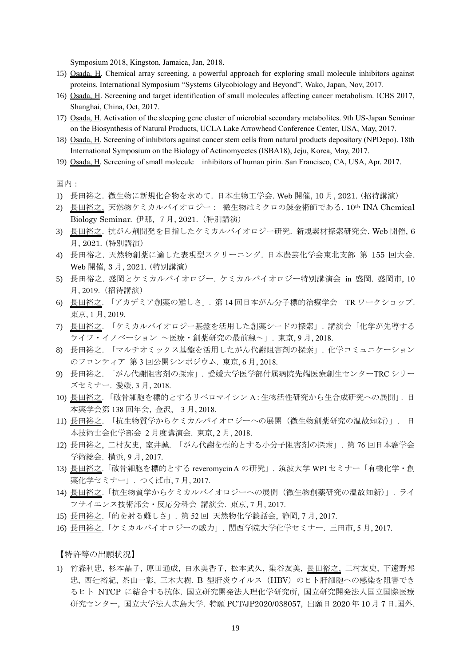Symposium 2018, Kingston, Jamaica, Jan, 2018.

- 15) Osada, H. Chemical array screening, a powerful approach for exploring small molecule inhibitors against proteins. International Symposium "Systems Glycobiology and Beyond", Wako, Japan, Nov, 2017.
- 16) Osada, H. Screening and target identification of small molecules affecting cancer metabolism. ICBS 2017, Shanghai, China, Oct, 2017.
- 17) Osada, H. Activation of the sleeping gene cluster of microbial secondary metabolites. 9th US-Japan Seminar on the Biosynthesis of Natural Products, UCLA Lake Arrowhead Conference Center, USA, May, 2017.
- 18) Osada, H. Screening of inhibitors against cancer stem cells from natural products depository (NPDepo). 18th International Symposium on the Biology of Actinomycetes (ISBA18), Jeju, Korea, May, 2017.
- 19) Osada, H. Screening of small molecule inhibitors of human pirin. San Francisco, CA, USA, Apr. 2017.

国内:

- 1) 長田裕之. 微生物に新規化合物を求めて. 日本生物工学会. Web 開催, 10 月, 2021. (招待講演)
- 2) 長田裕之, 天然物ケミカルバイオロジー: 微生物はミクロの錬金術師である. 10th INA Chemical Biology Seminar. 伊那, 7月, 2021.(特別講演)
- 3) 長田裕之. 抗がん剤開発を目指したケミカルバイオロジー研究. 新規素材探索研究会. Web 開催, 6 月, 2021. (特別講演)
- 4) 長田裕之. 天然物創薬に適した表現型スクリーニング. 日本農芸化学会東北支部 第 155 回大会. Web 開催, 3 月, 2021. (特別講演)
- 5) 長田裕之. 盛岡とケミカルバイオロジー. ケミカルバイオロジー特別講演会 in 盛岡. 盛岡市, 10 月, 2019.(招待講演)
- 6) 長田裕之. 「アカデミア創薬の難しさ」. 第 14 回日本がん分子標的治療学会 TR ワークショップ. 東京, 1 月, 2019.
- 7) 長田裕之. 「ケミカルバイオロジー基盤を活用した創薬シードの探索」. 講演会「化学が先導する ライフ・イノベーション ~医療・創薬研究の最前線~」. 東京, 9 月, 2018.
- 8) 長田裕之. 「マルチオミックス基盤を活用したがん代謝阻害剤の探索」. 化学コミュニケーション のフロンティア 第 3 回公開シンポジウム. 東京, 6 月, 2018.
- 9) 長田裕之. 「がん代謝阻害剤の探索」. 愛媛大学医学部付属病院先端医療創生センターTRC シリー ズセミナー. 愛媛, 3 月, 2018.
- 10) 長田裕之. 「破骨細胞を標的とするリベロマイシン A:生物活性研究から生合成研究への展開」. 日 本薬学会第 138 回年会, 金沢, 3 月, 2018.
- 11) 長田裕之. 「抗生物質学からケミカルバイオロジーへの展開(微生物創薬研究の温故知新)」. 日 本技術士会化学部会 2 月度講演会. 東京, 2 月, 2018.
- 12) 長田裕之, 二村友史, 室井誠. 「がん代謝を標的とする小分子阻害剤の探索」. 第 76 回日本癌学会 学術総会. 横浜, 9 月, 2017.
- 13) 長田裕之.「破骨細胞を標的とする reveromycin A の研究」. 筑波大学 WPI セミナー「有機化学・創 薬化学セミナー」. つくば市, 7 月, 2017.
- 14) 長田裕之.「抗生物質学からケミカルバイオロジーへの展開(微生物創薬研究の温故知新)」. ライ フサイエンス技術部会・反応分科会 講演会. 東京, 7 月, 2017.
- 15) 長田裕之.「的を射る難しさ」. 第 52 回 天然物化学談話会, 静岡, 7 月, 2017.
- 16) 長田裕之.「ケミカルバイオロジーの威力」. 関西学院大学化学セミナー. 三田市, 5 月, 2017.

【特許等の出願状況】

1) 竹森利忠, 杉本晶子, 原田通成, 白水美香子, 松本武久, 染谷友美, 長田裕之, 二村友史, 下遠野邦 忠, 西辻裕紀, 茶山一彰, 三木大樹. B 型肝炎ウイルス (HBV) のヒト肝細胞への感染を阻害でき るヒト NTCP に結合する抗体. 国立研究開発法人理化学研究所, 国立研究開発法人国立国際医療 研究センター, 国立大学法人広島大学. 特願 PCT/JP2020/038057, 出願日 2020 年 10 月 7 日.国外.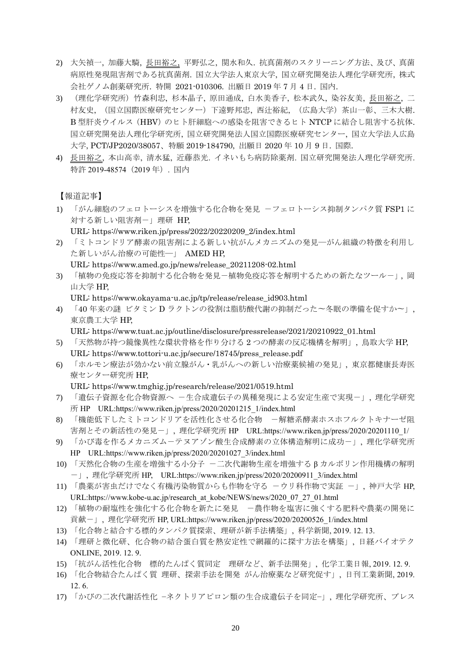- 2) 大矢禎一, 加藤大騎, 長田裕之, 平野弘之, 関水和久. 抗真菌剤のスクリーニング方法、及び、真菌 病原性発現阻害剤である抗真菌剤. 国立大学法人東京大学, 国立研究開発法人理化学研究所, 株式 会社ゲノム創薬研究所. 特開 2021-010306. 出願日 2019 年 7 月 4 日. 国内.
- 3) (理化学研究所) 竹森利忠, 杉本晶子, 原田通成, 白水美香子, 松本武久, 染谷友美, <u>長田裕之,</u> 二 村友史, (国立国際医療研究センター)下遠野邦忠, 西辻裕紀, (広島大学)茶山一彰、三木大樹. B 型肝炎ウイルス(HBV)のヒト肝細胞への感染を阻害できるヒト NTCP に結合し阻害する抗体. 国立研究開発法人理化学研究所, 国立研究開発法人国立国際医療研究センター, 国立大学法人広島 大学, PCT/JP2020/38057、特願 2019-184790, 出願日 2020 年 10 月 9 日. 国際.
- 4) 長田裕之, 本山高幸, 清水猛, 近藤恭光. イネいもち病防除薬剤. 国立研究開発法人理化学研究所. 特許 2019-48574(2019 年). 国内

#### 【報道記事】

- 1) 「がん細胞のフェロトーシスを増強する化合物を発見 -フェロトーシス抑制タンパク質 FSP1 に 対する新しい阻害剤ー」理研 HP.
	- URL: https://www.riken.jp/press/2022/20220209\_2/index.html
- 2) 「ミトコンドリア酵素の阻害剤による新しい抗がんメカニズムの発見―がん組織の特徴を利用し た新しいがん治療の可能性―」 AMED HP,

URL: https://www.amed.go.jp/news/release\_20211208-02.html

3) 「植物の免疫応答を抑制する化合物を発見-植物免疫応答を解明するための新たなツール-」, 岡 山大学 HP,

URL: https://www.okayama-u.ac.jp/tp/release/release\_id903.html

4) 「40 年来の謎 ビタミン D ラクトンの役割は脂肪酸代謝の抑制だった〜冬眠の準備を促すか〜」, 東京農工大学 HP,

URL: https://www.tuat.ac.jp/outline/disclosure/pressrelease/2021/20210922\_01.html

- 5) 「天然物が持つ鏡像異性な環状骨格を作り分ける 2 つの酵素の反応機構を解明」, 鳥取大学 HP, URL: https://www.tottori-u.ac.jp/secure/18745/press\_release.pdf
- 6) 「ホルモン療法が効かない前立腺がん・乳がんへの新しい治療薬候補の発見」, 東京都健康長寿医 療センター研究所 HP,

URL: https://www.tmghig.jp/research/release/2021/0519.html

- 7) 「遺伝子資源を化合物資源へ -生合成遺伝子の異種発現による安定生産で実現-」, 理化学研究 所 HP URL:https://www.riken.jp/press/2020/20201215\_1/index.html
- 8) 「機能低下したミトコンドリアを活性化させる化合物 一解糖系酵素ホスホフルクトキナーゼ阻 害剤とその新活性の発見-」, 理化学研究所 HP URL:https://www.riken.jp/press/2020/20201110\_1/
- 9) 「かび毒を作るメカニズムーテヌアゾン酸生合成酵素の立体構造解明に成功ー」, 理化学研究所 HP URL:https://www.riken.jp/press/2020/20201027\_3/index.html
- 10) 「天然化合物の生産を増強する小分子 -二次代謝物生産を増強するβカルボリン作用機構の解明 -」, 理化学研究所 HP, URL:https://www.riken.jp/press/2020/20200911\_3/index.html
- 11) 「農薬が害虫だけでなく有機汚染物質からも作物を守る -ウリ科作物で実証 -」, 神戸大学 HP, URL:https://www.kobe-u.ac.jp/research\_at\_kobe/NEWS/news/2020\_07\_27\_01.html
- 12) 「植物の耐塩性を強化する化合物を新たに発見 -農作物を塩害に強くする肥料や農薬の開発に 貢献-」, 理化学研究所 HP, URL:https://www.riken.jp/press/2020/20200526\_1/index.html
- 13) 「化合物と結合する標的タンパク質探索、理研が新手法構築」, 科学新聞, 2019. 12. 13.
- 14) 「理研と微化研、化合物の結合蛋白質を熱安定性で網羅的に探す方法を構築」, 日経バイオテク ONLINE, 2019. 12. 9.
- 15) 「抗がん活性化合物 標的たんぱく質同定 理研など、新手法開発」, 化学工業日報, 2019. 12. 9.
- 16) 「化合物結合たんぱく質 理研、探索手法を開発 がん治療薬など研究促す」, 日刊工業新聞, 2019. 12. 6.
- 17) 「かびの二次代謝活性化 −ネクトリアピロン類の生合成遺伝子を同定−」, 理化学研究所、プレス